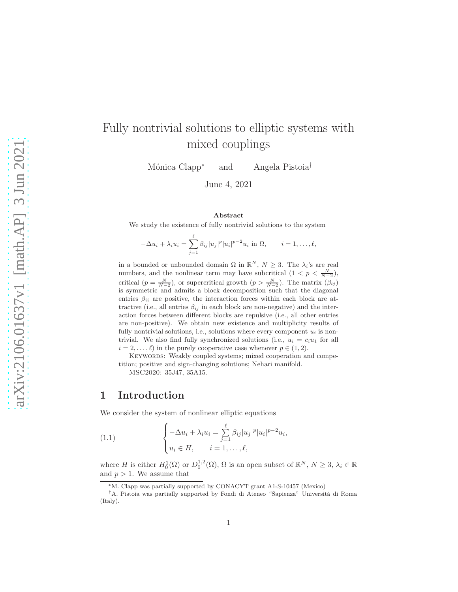# Fully nontrivial solutions to elliptic systems with mixed couplings

Mónica Clapp<sup>∗</sup> and Angela Pistoia<sup>†</sup>

June 4, 2021

#### Abstract

We study the existence of fully nontrivial solutions to the system

$$
-\Delta u_i + \lambda_i u_i = \sum_{j=1}^{\ell} \beta_{ij} |u_j|^p |u_i|^{p-2} u_i \text{ in } \Omega, \qquad i = 1, \dots, \ell,
$$

in a bounded or unbounded domain  $\Omega$  in  $\mathbb{R}^N$ ,  $N \geq 3$ . The  $\lambda_i$ 's are real numbers, and the nonlinear term may have subcritical  $(1 < p < \frac{N}{N-2})$ , critical  $(p = \frac{N}{N-2})$ , or supercritical growth  $(p > \frac{N}{N-2})$ . The matrix  $(\beta_{ij})$ is symmetric and admits a block decomposition such that the diagonal entries  $\beta_{ii}$  are positive, the interaction forces within each block are attractive (i.e., all entries  $\beta_{ij}$  in each block are non-negative) and the interaction forces between different blocks are repulsive (i.e., all other entries are non-positive). We obtain new existence and multiplicity results of fully nontrivial solutions, i.e., solutions where every component  $u_i$  is nontrivial. We also find fully synchronized solutions (i.e.,  $u_i = c_i u_1$  for all  $i = 2, \ldots, \ell$  in the purely cooperative case whenever  $p \in (1, 2)$ .

KEYWORDS: Weakly coupled systems; mixed cooperation and competition; positive and sign-changing solutions; Nehari manifold.

MSC2020: 35J47, 35A15.

# 1 Introduction

We consider the system of nonlinear elliptic equations

<span id="page-0-0"></span>(1.1) 
$$
\begin{cases} -\Delta u_i + \lambda_i u_i = \sum_{j=1}^{\ell} \beta_{ij} |u_j|^p |u_i|^{p-2} u_i, \\ u_i \in H, \qquad i = 1, \dots, \ell, \end{cases}
$$

where H is either  $H_0^1(\Omega)$  or  $D_0^{1,2}(\Omega)$ ,  $\Omega$  is an open subset of  $\mathbb{R}^N$ ,  $N \geq 3$ ,  $\lambda_i \in \mathbb{R}$ and  $p > 1$ . We assume that

<sup>∗</sup>M. Clapp was partially supported by CONACYT grant A1-S-10457 (Mexico)

<sup>†</sup>A. Pistoia was partially supported by Fondi di Ateneo "Sapienza" Universit`a di Roma (Italy).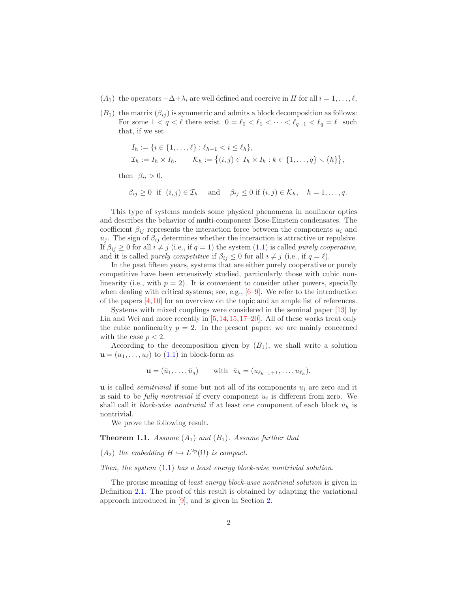- $(A_1)$  the operators  $-\Delta + \lambda_i$  are well defined and coercive in H for all  $i = 1, \ldots, \ell$ ,
- $(B_1)$  the matrix  $(\beta_{ij})$  is symmetric and admits a block decomposition as follows: For some  $1 < q < \ell$  there exist  $0 = \ell_0 < \ell_1 < \cdots < \ell_{q-1} < \ell_q = \ell$  such that, if we set

$$
I_h := \{ i \in \{1, ..., \ell\} : \ell_{h-1} < i \leq \ell_h \},
$$
\n
$$
\mathcal{I}_h := I_h \times I_h, \qquad \mathcal{K}_h := \{ (i, j) \in I_h \times I_k : k \in \{1, ..., q\} \setminus \{h\} \},
$$

then  $\beta_{ii} > 0$ ,

 $\beta_{ij} \geq 0$  if  $(i, j) \in \mathcal{I}_h$  and  $\beta_{ij} \leq 0$  if  $(i, j) \in \mathcal{K}_h$ ,  $h = 1, \ldots, q$ .

This type of systems models some physical phenomena in nonlinear optics and describes the behavior of multi-component Bose-Einstein condensates. The coefficient  $\beta_{ij}$  represents the interaction force between the components  $u_i$  and  $u_j$ . The sign of  $\beta_{ij}$  determines whether the interaction is attractive or repulsive. If  $\beta_{ij} \geq 0$  for all  $i \neq j$  (i.e., if  $q = 1$ ) the system [\(1.1\)](#page-0-0) is called *purely cooperative*, and it is called *purely competitive* if  $\beta_{ij} \leq 0$  for all  $i \neq j$  (i.e., if  $q = \ell$ ).

In the past fifteen years, systems that are either purely cooperative or purely competitive have been extensively studied, particularly those with cubic nonlinearity (i.e., with  $p = 2$ ). It is convenient to consider other powers, specially when dealing with critical systems; see, e.g.,  $[6-9]$  $[6-9]$ . We refer to the introduction of the papers  $[4,10]$  $[4,10]$  for an overview on the topic and an ample list of references.

Systems with mixed couplings were considered in the seminal paper [\[13\]](#page-23-1) by Lin and Wei and more recently in [\[5,](#page-22-3)[14,](#page-23-2)[15,](#page-23-3)[17](#page-23-4)[–20\]](#page-23-5). All of these works treat only the cubic nonlinearity  $p = 2$ . In the present paper, we are mainly concerned with the case  $p < 2$ .

According to the decomposition given by  $(B_1)$ , we shall write a solution  $\mathbf{u} = (u_1, \dots, u_\ell)$  to  $(1.1)$  in block-form as

$$
\mathbf{u} = (\bar{u}_1, \dots, \bar{u}_q) \qquad \text{with} \ \ \bar{u}_h = (u_{\ell_{h-1}+1}, \dots, u_{\ell_h}).
$$

**u** is called *semitrivial* if some but not all of its components  $u_i$  are zero and it is said to be *fully nontrivial* if every component  $u_i$  is different from zero. We shall call it *block-wise nontrivial* if at least one component of each block  $\bar{u}_h$  is nontrivial.

We prove the following result.

<span id="page-1-0"></span>**Theorem 1.1.** Assume  $(A_1)$  and  $(B_1)$ . Assume further that

 $(A_2)$  the embedding  $H \hookrightarrow L^{2p}(\Omega)$  is compact.

Then, the system  $(1.1)$  has a least energy block-wise nontrivial solution.

The precise meaning of *least energy block-wise nontrivial solution* is given in Definition [2.1.](#page-5-0) The proof of this result is obtained by adapting the variational approach introduced in [\[9\]](#page-22-1), and is given in Section [2.](#page-4-0)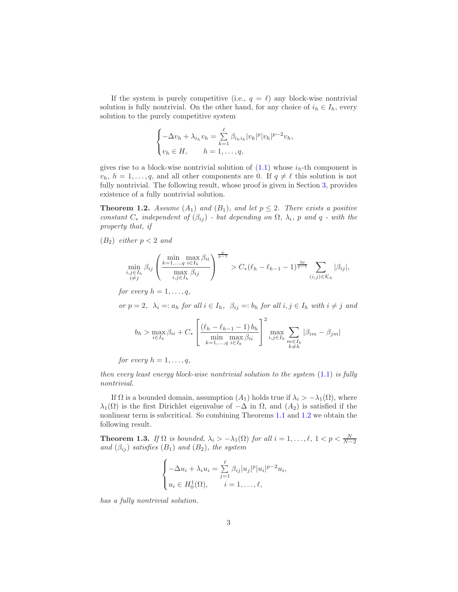If the system is purely competitive (i.e.,  $q = \ell$ ) any block-wise nontrivial solution is fully nontrivial. On the other hand, for any choice of  $i_h \in I_h$ , every solution to the purely competitive system

$$
\begin{cases}\n-\Delta v_h + \lambda_{i_h} v_h = \sum_{k=1}^{\ell} \beta_{i_h i_k} |v_k|^p |v_h|^{p-2} v_h, \\
v_h \in H, \qquad h = 1, \dots, q,\n\end{cases}
$$

gives rise to a block-wise nontrivial solution of  $(1.1)$  whose  $i_h$ -th component is  $v_h$ ,  $h = 1, \ldots, q$ , and all other components are 0. If  $q \neq \ell$  this solution is not fully nontrivial. The following result, whose proof is given in Section [3,](#page-9-0) provides existence of a fully nontrivial solution.

<span id="page-2-0"></span>**Theorem 1.2.** Assume  $(A_1)$  and  $(B_1)$ , and let  $p \leq 2$ . There exists a positive constant  $C_*$  independent of  $(\beta_{ij})$  - but depending on  $\Omega$ ,  $\lambda_i$ , p and q - with the property that, if

 $(B_2)$  either  $p < 2$  and

$$
\min_{\substack{i,j\in I_h \\ i\neq j}} \beta_{ij} \left( \frac{\min_{k=1,...,q} \max_{i\in I_k} \beta_{ii}}{\max_{i,j\in I_h} \beta_{ij}} \right)^{\frac{p}{p-1}} > C_*(\ell_h - \ell_{h-1} - 1)^{\frac{2p}{p-1}} \sum_{(i,j)\in \mathcal{K}_h} |\beta_{ij}|,
$$

for every  $h = 1, \ldots, q$ ,

or  $p = 2$ ,  $\lambda_i =: a_h$  for all  $i \in I_h$ ,  $\beta_{ij} =: b_h$  for all  $i, j \in I_h$  with  $i \neq j$  and

$$
b_h > \max_{i \in I_h} \beta_{ii} + C_* \left[ \frac{(\ell_h - \ell_{h-1} - 1) b_h}{\min_{k=1, ..., q} \max_{i \in I_k} \beta_{ii}} \right]^2 \max_{\substack{i,j \in I_h \\ k \neq h}} \sum_{\substack{m \in I_k \\ k \neq h}} |\beta_{im} - \beta_{jm}|
$$

for every  $h = 1, \ldots, q$ ,

then every least energy block-wise nontrivial solution to the system  $(1.1)$  is fully nontrivial.

If  $\Omega$  is a bounded domain, assumption  $(A_1)$  holds true if  $\lambda_i > -\lambda_1(\Omega)$ , where  $\lambda_1(\Omega)$  is the first Dirichlet eigenvalue of  $-\Delta$  in  $\Omega$ , and  $(A_2)$  is satisfied if the nonlinear term is subcritical. So combining Theorems [1.1](#page-1-0) and [1.2](#page-2-0) we obtain the following result.

**Theorem 1.3.** If  $\Omega$  is bounded,  $\lambda_i > -\lambda_1(\Omega)$  for all  $i = 1, \ldots, \ell, 1 < p < \frac{N}{N-2}$ and  $(\beta_{ij})$  satisfies  $(B_1)$  and  $(B_2)$ , the system

$$
\begin{cases}\n-\Delta u_i + \lambda_i u_i = \sum_{j=1}^{\ell} \beta_{ij} |u_j|^p |u_i|^{p-2} u_i, \\
u_i \in H_0^1(\Omega), \qquad i = 1, \dots, \ell,\n\end{cases}
$$

has a fully nontrivial solution.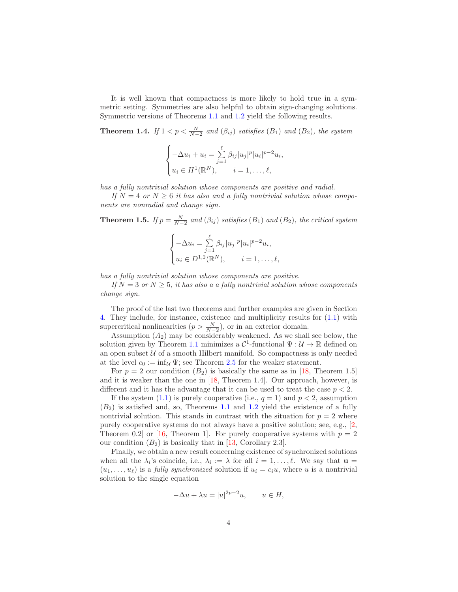It is well known that compactness is more likely to hold true in a symmetric setting. Symmetries are also helpful to obtain sign-changing solutions. Symmetric versions of Theorems [1.1](#page-1-0) and [1.2](#page-2-0) yield the following results.

<span id="page-3-0"></span>**Theorem 1.4.** If  $1 < p < \frac{N}{N-2}$  and  $(\beta_{ij})$  satisfies  $(B_1)$  and  $(B_2)$ , the system

$$
\begin{cases}\n-\Delta u_i + u_i = \sum_{j=1}^{\ell} \beta_{ij} |u_j|^p |u_i|^{p-2} u_i, \\
u_i \in H^1(\mathbb{R}^N), \quad i = 1, \dots, \ell,\n\end{cases}
$$

has a fully nontrivial solution whose components are positive and radial.

If  $N = 4$  or  $N \geq 6$  it has also and a fully nontrivial solution whose components are nonradial and change sign.

<span id="page-3-1"></span>**Theorem 1.5.** If  $p = \frac{N}{N-2}$  and  $(\beta_{ij})$  satisfies  $(B_1)$  and  $(B_2)$ , the critical system

$$
\begin{cases}\n-\Delta u_i = \sum_{j=1}^{\ell} \beta_{ij} |u_j|^p |u_i|^{p-2} u_i, \\
u_i \in D^{1,2}(\mathbb{R}^N), \quad i = 1, \dots, \ell,\n\end{cases}
$$

has a fully nontrivial solution whose components are positive.

If  $N = 3$  or  $N > 5$ , it has also a a fully nontrivial solution whose components change sign.

The proof of the last two theorems and further examples are given in Section [4.](#page-16-0) They include, for instance, existence and multiplicity results for [\(1.1\)](#page-0-0) with supercritical nonlinearities  $(p > \frac{N}{N-2})$ , or in an exterior domain.

Assumption  $(A_2)$  may be considerably weakened. As we shall see below, the solution given by Theorem [1.1](#page-1-0) minimizes a  $\mathcal{C}^1$ -functional  $\Psi: \mathcal{U} \to \mathbb{R}$  defined on an open subset  $U$  of a smooth Hilbert manifold. So compactness is only needed at the level  $c_0 := \inf_{\mathcal{U}} \Psi$ ; see Theorem [2.5](#page-8-0) for the weaker statement.

For  $p = 2$  our condition  $(B_2)$  is basically the same as in [\[18,](#page-23-6) Theorem 1.5] and it is weaker than the one in [\[18,](#page-23-6) Theorem 1.4]. Our approach, however, is different and it has the advantage that it can be used to treat the case  $p < 2$ .

If the system  $(1.1)$  is purely cooperative (i.e.,  $q = 1$ ) and  $p < 2$ , assumption  $(B_2)$  is satisfied and, so, Theorems [1.1](#page-1-0) and [1.2](#page-2-0) yield the existence of a fully nontrivial solution. This stands in contrast with the situation for  $p = 2$  where purely cooperative systems do not always have a positive solution; see, e.g., [\[2,](#page-22-4) Theorem 0.2 or [\[16,](#page-23-7) Theorem 1]. For purely cooperative systems with  $p = 2$ our condition  $(B_2)$  is basically that in [\[13,](#page-23-1) Corollary 2.3].

Finally, we obtain a new result concerning existence of synchronized solutions when all the  $\lambda_i$ 's coincide, i.e.,  $\lambda_i := \lambda$  for all  $i = 1, \ldots, \ell$ . We say that  $\mathbf{u} =$  $(u_1, \ldots, u_\ell)$  is a *fully synchronized* solution if  $u_i = c_i u$ , where u is a nontrivial solution to the single equation

$$
-\Delta u + \lambda u = |u|^{2p-2}u, \qquad u \in H,
$$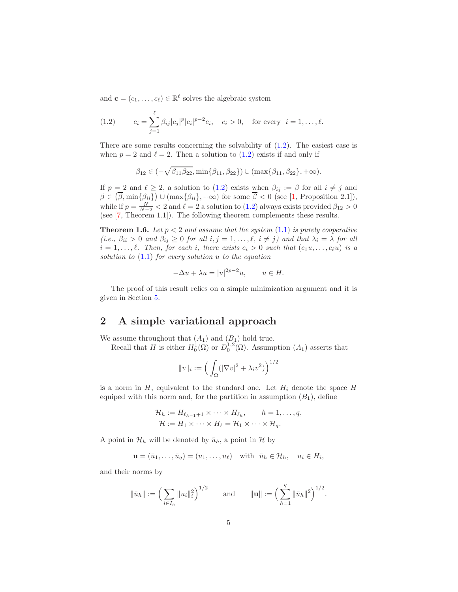and  $\mathbf{c} = (c_1, \dots, c_\ell) \in \mathbb{R}^\ell$  solves the algebraic system

<span id="page-4-1"></span>(1.2) 
$$
c_i = \sum_{j=1}^{\ell} \beta_{ij} |c_j|^p |c_i|^{p-2} c_i, \quad c_i > 0, \quad \text{for every } i = 1, ..., \ell.
$$

There are some results concerning the solvability of [\(1.2\)](#page-4-1). The easiest case is when  $p = 2$  and  $\ell = 2$ . Then a solution to  $(1.2)$  exists if and only if

$$
\beta_{12} \in (-\sqrt{\beta_{11}\beta_{22}}, \min{\beta_{11}, \beta_{22}}) \cup (\max{\beta_{11}, \beta_{22}}, +\infty).
$$

If  $p = 2$  and  $\ell \geq 2$ , a solution to  $(1.2)$  exists when  $\beta_{ij} := \beta$  for all  $i \neq j$  and  $\beta \in (\overline{\beta}, \min\{\beta_{ii}\}) \cup (\max\{\beta_{ii}\}, +\infty)$  for some  $\overline{\beta} < 0$  (see [\[1,](#page-22-5) Proposition 2.1]), while if  $p = \frac{N}{N-2} < 2$  and  $\ell = 2$  a solution to [\(1.2\)](#page-4-1) always exists provided  $\beta_{12} > 0$ (see [\[7,](#page-22-6) Theorem 1.1]). The following theorem complements these results.

<span id="page-4-2"></span>**Theorem 1.6.** Let  $p < 2$  and assume that the system  $(1.1)$  is purely cooperative (i.e.,  $\beta_{ii} > 0$  and  $\beta_{ij} \geq 0$  for all  $i, j = 1, ..., \ell, i \neq j$ ) and that  $\lambda_i = \lambda$  for all  $i = 1, \ldots, \ell$ . Then, for each i, there exists  $c_i > 0$  such that  $(c_1u, \ldots, c_\ell u)$  is a solution to  $(1.1)$  for every solution u to the equation

$$
-\Delta u + \lambda u = |u|^{2p-2}u, \qquad u \in H.
$$

The proof of this result relies on a simple minimization argument and it is given in Section [5.](#page-20-0)

# <span id="page-4-0"></span>2 A simple variational approach

We assume throughout that  $(A_1)$  and  $(B_1)$  hold true.

Recall that H is either  $H_0^1(\Omega)$  or  $D_0^{1,2}(\Omega)$ . Assumption  $(A_1)$  asserts that

$$
||v||_i := \left(\int_{\Omega} (|\nabla v|^2 + \lambda_i v^2) \right)^{1/2}
$$

is a norm in  $H$ , equivalent to the standard one. Let  $H_i$  denote the space  $H$ equiped with this norm and, for the partition in assumption  $(B_1)$ , define

$$
\mathcal{H}_h := H_{\ell_{h-1}+1} \times \cdots \times H_{\ell_h}, \qquad h = 1, \ldots, q,
$$
  

$$
\mathcal{H} := H_1 \times \cdots \times H_\ell = \mathcal{H}_1 \times \cdots \times \mathcal{H}_q.
$$

A point in  $\mathcal{H}_h$  will be denoted by  $\bar{u}_h$ , a point in  $\mathcal{H}$  by

$$
\mathbf{u} = (\bar{u}_1, \dots, \bar{u}_q) = (u_1, \dots, u_\ell) \quad \text{with} \quad \bar{u}_h \in \mathcal{H}_h, \quad u_i \in H_i,
$$

and their norms by

$$
\|\bar{u}_h\| := \left(\sum_{i \in I_h} \|u_i\|_i^2\right)^{1/2} \quad \text{and} \quad \|u\| := \left(\sum_{h=1}^q \|\bar{u}_h\|^2\right)^{1/2}.
$$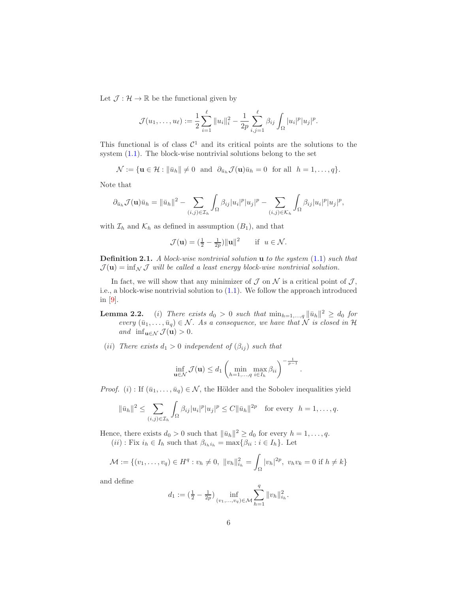Let  $\mathcal{J} : \mathcal{H} \to \mathbb{R}$  be the functional given by

$$
\mathcal{J}(u_1,\ldots,u_\ell) := \frac{1}{2}\sum_{i=1}^{\ell} ||u_i||_i^2 - \frac{1}{2p}\sum_{i,j=1}^{\ell} \beta_{ij} \int_{\Omega} |u_i|^p |u_j|^p.
$$

This functional is of class  $\mathcal{C}^1$  and its critical points are the solutions to the system [\(1.1\)](#page-0-0). The block-wise nontrivial solutions belong to the set

$$
\mathcal{N} := \{ \mathbf{u} \in \mathcal{H} : \|\bar{u}_h\| \neq 0 \text{ and } \partial_{\bar{u}_h} \mathcal{J}(\mathbf{u})\bar{u}_h = 0 \text{ for all } h = 1,\ldots,q \}.
$$

Note that

$$
\partial_{\bar{u}_h} \mathcal{J}(\mathbf{u}) \bar{u}_h = \|\bar{u}_h\|^2 - \sum_{(i,j) \in \mathcal{I}_h} \int_{\Omega} \beta_{ij} |u_i|^p |u_j|^p - \sum_{(i,j) \in \mathcal{K}_h} \int_{\Omega} \beta_{ij} |u_i|^p |u_j|^p,
$$

with  $\mathcal{I}_h$  and  $\mathcal{K}_h$  as defined in assumption  $(B_1)$ , and that

$$
\mathcal{J}(\mathbf{u}) = (\frac{1}{2} - \frac{1}{2p}) ||\mathbf{u}||^2 \quad \text{if } u \in \mathcal{N}.
$$

<span id="page-5-0"></span>Definition 2.1. A block-wise nontrivial solution **u** to the system  $(1.1)$  such that  $\mathcal{J}(\mathbf{u}) = \inf_{\mathcal{N}} \mathcal{J}$  will be called a least energy block-wise nontrivial solution.

In fact, we will show that any minimizer of  $\mathcal J$  on  $\mathcal N$  is a critical point of  $\mathcal J$ , i.e., a block-wise nontrivial solution to [\(1.1\)](#page-0-0). We follow the approach introduced in [\[9\]](#page-22-1).

- **Lemma 2.2.** (i) There exists  $d_0 > 0$  such that  $\min_{h=1,\ldots,q} ||\bar{u}_h||^2 \geq d_0$  for every  $(\bar{u}_1, \ldots, \bar{u}_q) \in \mathcal{N}$ . As a consequence, we have that  $\hat{\mathcal{N}}$  is closed in  $\mathcal{H}$ and  $\inf_{\mathbf{u}\in\mathcal{N}} \mathcal{J}(\mathbf{u}) > 0$ .
- (ii) There exists  $d_1 > 0$  independent of  $(\beta_{ij})$  such that

$$
\inf_{\mathbf{u}\in\mathcal{N}} \mathcal{J}(\mathbf{u}) \le d_1 \left( \min_{h=1,\dots,q} \max_{i\in I_h} \beta_{ii} \right)^{-\frac{1}{p-1}}
$$

.

*Proof.* (i) : If  $(\bar{u}_1, \ldots, \bar{u}_q) \in \mathcal{N}$ , the Hölder and the Sobolev inequalities yield

$$
\|\bar{u}_h\|^2 \le \sum_{(i,j)\in\mathcal{I}_h} \int_{\Omega} \beta_{ij} |u_i|^p |u_j|^p \le C \|\bar{u}_h\|^{2p} \quad \text{for every} \quad h = 1,\dots,q.
$$

Hence, there exists  $d_0 > 0$  such that  $\|\bar{u}_h\|^2 \ge d_0$  for every  $h = 1, \ldots, q$ .

 $(ii)$ : Fix  $i_h \in I_h$  such that  $\beta_{i_h i_h} = \max\{\beta_{ii} : i \in I_h\}$ . Let

$$
\mathcal{M} := \{ (v_1, \dots, v_q) \in H^q : v_h \neq 0, \ ||v_h||_{i_h}^2 = \int_{\Omega} |v_h|^{2p}, \ v_h v_k = 0 \text{ if } h \neq k \}
$$

and define

$$
d_1 := \left(\tfrac{1}{2} - \tfrac{1}{2p}\right) \inf_{(v_1, \ldots, v_q) \in \mathcal{M}} \sum_{h=1}^q \|v_h\|_{i_h}^2.
$$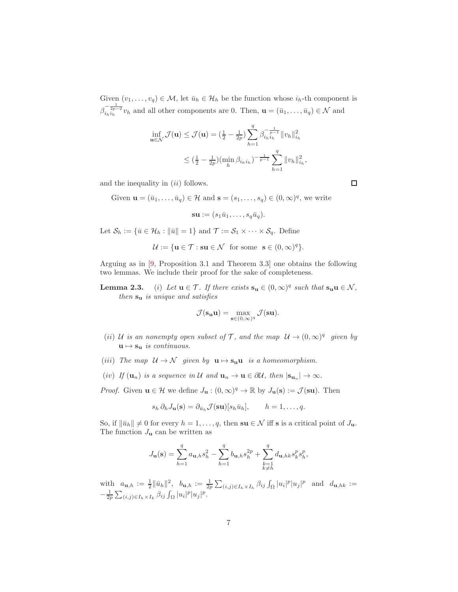Given  $(v_1, \ldots, v_q) \in \mathcal{M}$ , let  $\bar{u}_h \in \mathcal{H}_h$  be the function whose  $i_h$ -th component is  $\beta_{i_h i_h}^{-\frac{1}{2p-2}} v_h$  and all other components are 0. Then,  $\mathbf{u} = (\bar{u}_1, \dots, \bar{u}_q) \in \mathcal{N}$  and

$$
\inf_{\mathbf{u}\in\mathcal{N}} \mathcal{J}(\mathbf{u}) \leq \mathcal{J}(\mathbf{u}) = \left(\frac{1}{2} - \frac{1}{2p}\right) \sum_{h=1}^{q} \beta_{i_h i_h}^{-\frac{1}{p-1}} \|v_h\|_{i_h}^2
$$
  

$$
\leq \left(\frac{1}{2} - \frac{1}{2p}\right) \left(\min_h \beta_{i_h i_h}\right)^{-\frac{1}{p-1}} \sum_{h=1}^{q} \|v_h\|_{i_h}^2,
$$

and the inequality in  $(ii)$  follows.

Given 
$$
\mathbf{u} = (\bar{u}_1, \dots, \bar{u}_q) \in \mathcal{H}
$$
 and  $\mathbf{s} = (s_1, \dots, s_q) \in (0, \infty)^q$ , we write

$$
\mathbf{su} := (s_1\bar{u}_1,\ldots,s_q\bar{u}_q).
$$

Let  $\mathcal{S}_h := \{\bar{u} \in \mathcal{H}_h : \|\bar{u}\| = 1\}$  and  $\mathcal{T} := \mathcal{S}_1 \times \cdots \times \mathcal{S}_q$ . Define

$$
\mathcal{U} := \{ \mathbf{u} \in \mathcal{T} : \mathbf{su} \in \mathcal{N} \text{ for some } \mathbf{s} \in (0, \infty)^q \}.
$$

Arguing as in [\[9,](#page-22-1) Proposition 3.1 and Theorem 3.3] one obtains the following two lemmas. We include their proof for the sake of completeness.

**Lemma 2.3.** (i) Let  $\mathbf{u} \in \mathcal{T}$ . If there exists  $\mathbf{s}_{\mathbf{u}} \in (0,\infty)^q$  such that  $\mathbf{s}_{\mathbf{u}} \mathbf{u} \in \mathcal{N}$ , then  $s_u$  is unique and satisfies

$$
\mathcal{J}(\mathbf{s}_{\mathbf{u}}\mathbf{u}) = \max_{\mathbf{s} \in (0,\infty)^q} \mathcal{J}(\mathbf{s}\mathbf{u}).
$$

- (ii) U is an nonempty open subset of T, and the map  $\mathcal{U} \to (0,\infty)^q$  given by  $u \mapsto s_u$  is continuous.
- (iii) The map  $U \to \mathcal{N}$  given by  $\mathbf{u} \mapsto \mathbf{s}_{\mathbf{u}} \mathbf{u}$  is a homeomorphism.
- (iv) If  $(\mathbf{u}_n)$  is a sequence in U and  $\mathbf{u}_n \to \mathbf{u} \in \partial \mathcal{U}$ , then  $|\mathbf{s}_{\mathbf{u}_n}| \to \infty$ .

*Proof.* Given  $\mathbf{u} \in \mathcal{H}$  we define  $J_{\mathbf{u}} : (0, \infty)^q \to \mathbb{R}$  by  $J_{\mathbf{u}}(\mathbf{s}) := \mathcal{J}(\mathbf{s}\mathbf{u})$ . Then

$$
s_h \, \partial_h J_{\mathbf{u}}(\mathbf{s}) = \partial_{\bar{u}_h} \mathcal{J}(\mathbf{s}\mathbf{u})[s_h \bar{u}_h], \qquad h = 1, \dots, q.
$$

So, if  $\|\bar{u}_h\| \neq 0$  for every  $h = 1, \ldots, q$ , then  $\textbf{su} \in \mathcal{N}$  iff s is a critical point of  $J_{\mathbf{u}}$ . The function  $J_{\mathbf{u}}$  can be written as

$$
J_{\mathbf u}(\mathbf s)=\sum_{h=1}^q a_{\mathbf u,h}s_h^2-\sum_{h=1}^q b_{\mathbf u,h}s_h^{2p}+\sum_{\substack{k=1\\k\neq h}}^q d_{\mathbf u,hk}s_k^p s_h^p,
$$

with  $a_{\mathbf{u},h} := \frac{1}{2} ||\bar{u}_h||^2$ ,  $b_{\mathbf{u},h} := \frac{1}{2p} \sum_{(i,j) \in I_h \times I_h} \beta_{ij} \int_{\Omega} |u_i|^p |u_j|^p$  and  $d_{\mathbf{u},hk} :=$  $-\frac{1}{2p} \sum_{(i,j) \in I_h \times I_k} \beta_{ij} \int_{\Omega} |u_i|^p |u_j|^p.$ 

□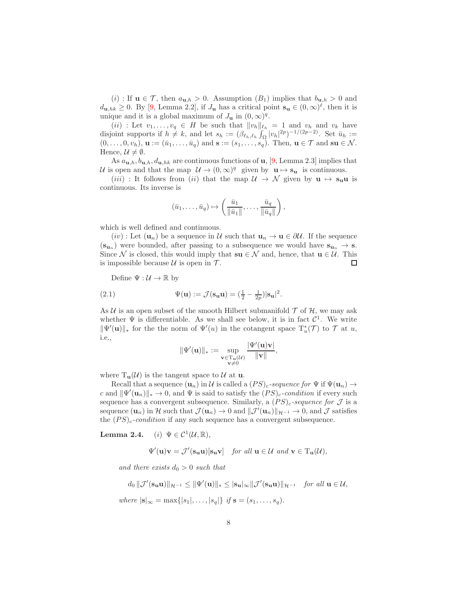(i) : If  $\mathbf{u} \in \mathcal{T}$ , then  $a_{\mathbf{u},h} > 0$ . Assumption  $(B_1)$  implies that  $b_{\mathbf{u},h} > 0$  and  $d_{\mathbf{u},hk} \geq 0$ . By [\[9,](#page-22-1) Lemma 2.2], if  $J_{\mathbf{u}}$  has a critical point  $\mathbf{s}_{\mathbf{u}} \in (0,\infty)^{\ell}$ , then it is unique and it is a global maximum of  $J_{\mathbf{u}}$  in  $(0,\infty)^q$ .

(ii) : Let  $v_1, \ldots, v_q \in H$  be such that  $||v_h||_{\ell_h} = 1$  and  $v_h$  and  $v_k$  have disjoint supports if  $h \neq k$ , and let  $s_h := (\beta_{\ell_h, \ell_h} \int_{\Omega} |v_h|^{2p})^{-1/(2p-2)}$ . Set  $\bar{u}_h :=$  $(0,\ldots,0,v_h),\mathbf{u}:=(\bar{u}_1,\ldots,\bar{u}_q)$  and  $\mathbf{s}:=(s_1,\ldots,s_q).$  Then,  $\mathbf{u}\in\mathcal{T}$  and  $\mathbf{s}\mathbf{u}\in\mathcal{N}$ . Hence,  $\mathcal{U} \neq \emptyset$ .

As  $a_{\mathbf{u},h}, b_{\mathbf{u},h}, d_{\mathbf{u},hk}$  are continuous functions of  $\mathbf{u}$ , [\[9,](#page-22-1) Lemma 2.3] implies that U is open and that the map  $\mathcal{U} \to (0,\infty)^q$  given by  $\mathbf{u} \mapsto \mathbf{s}_\mathbf{u}$  is continuous.

(*iii*) : It follows from (*ii*) that the map  $\mathcal{U} \to \mathcal{N}$  given by  $\mathbf{u} \mapsto \mathbf{s}_{\mathbf{u}} \mathbf{u}$  is continuous. Its inverse is

$$
(\bar{u}_1,\ldots,\bar{u}_q)\mapsto \left(\frac{\bar{u}_1}{\|\bar{u}_1\|},\ldots,\frac{\bar{u}_q}{\|\bar{u}_q\|}\right),\,
$$

which is well defined and continuous.

 $(iv)$ : Let  $(\mathbf{u}_n)$  be a sequence in U such that  $\mathbf{u}_n \to \mathbf{u} \in \partial \mathcal{U}$ . If the sequence  $(\mathbf{s}_{\mathbf{u}_n})$  were bounded, after passing to a subsequence we would have  $\mathbf{s}_{\mathbf{u}_n} \to \mathbf{s}$ . Since  $\mathcal N$  is closed, this would imply that  $\mathbf su \in \mathcal N$  and, hence, that  $\mathbf u \in \mathcal U$ . This is impossible because  $\mathcal U$  is open in  $\mathcal T$ . □

Define  $\Psi : \mathcal{U} \to \mathbb{R}$  by

(2.1) 
$$
\Psi(\mathbf{u}) := \mathcal{J}(\mathbf{s}_{\mathbf{u}} \mathbf{u}) = (\frac{1}{2} - \frac{1}{2p}) |\mathbf{s}_{\mathbf{u}}|^2.
$$

As U is an open subset of the smooth Hilbert submanifold  $\mathcal T$  of  $\mathcal H$ , we may ask whether  $\Psi$  is differentiable. As we shall see below, it is in fact  $C^1$ . We write  $\|\Psi'(\mathbf{u})\|_*$  for the the norm of  $\Psi'(u)$  in the cotangent space  $\mathrm{T}_u^*(\mathcal{T})$  to  $\mathcal{T}$  at u, i.e.,

<span id="page-7-0"></span>
$$
\|\Psi'(\mathbf{u})\|_*:=\sup_{\substack{\mathbf{v}\in\mathrm{T}_{\mathbf{u}}(\mathcal{U})\\ \mathbf{v}\neq 0}}\frac{|\Psi'(\mathbf{u})\mathbf{v}|}{\|\mathbf{v}\|},
$$

where  $T_{\mathbf{u}}(\mathcal{U})$  is the tangent space to  $\mathcal{U}$  at  $\mathbf{u}$ .

Recall that a sequence  $(\mathbf{u}_n)$  in U is called a  $(PS)_c$ -sequence for  $\Psi$  if  $\Psi(\mathbf{u}_n) \rightarrow$ c and  $\|\Psi'(\mathbf{u}_n)\|_* \to 0$ , and  $\Psi$  is said to satisfy the  $(PS)_c$ -condition if every such sequence has a convergent subsequence. Similarly, a  $(PS)_c$ -sequence for  $\mathcal J$  is a sequence  $(\mathbf{u}_n)$  in H such that  $\mathcal{J}(\mathbf{u}_n) \to 0$  and  $\|\mathcal{J}'(\mathbf{u}_n)\|_{\mathcal{H}^{-1}} \to 0$ , and  $\mathcal{J}$  satisfies the  $(PS)_c$ -condition if any such sequence has a convergent subsequence.

Lemma 2.4. (*i*)  $\Psi \in C^1(\mathcal{U}, \mathbb{R}),$ 

$$
\Psi'(\mathbf{u})\mathbf{v} = \mathcal{J}'(\mathbf{s}_{\mathbf{u}}\mathbf{u})[\mathbf{s}_{\mathbf{u}}\mathbf{v}] \quad \text{for all } \mathbf{u} \in \mathcal{U} \text{ and } \mathbf{v} \in \mathrm{T}_{\mathbf{u}}(\mathcal{U}),
$$

and there exists  $d_0 > 0$  such that

$$
d_0 \|\mathcal{J}'(\mathbf{s}_{\mathbf{u}}\mathbf{u})\|_{\mathcal{H}^{-1}} \le \|\Psi'(\mathbf{u})\|_{*} \le |\mathbf{s}_{\mathbf{u}}|_{\infty} \|\mathcal{J}'(\mathbf{s}_{\mathbf{u}}\mathbf{u})\|_{\mathcal{H}^{-1}} \quad \text{for all } \mathbf{u} \in \mathcal{U},
$$

where 
$$
|\mathbf{s}|_{\infty} = \max\{|s_1|,\ldots,|s_q|\}
$$
 if  $\mathbf{s} = (s_1,\ldots,s_q)$ .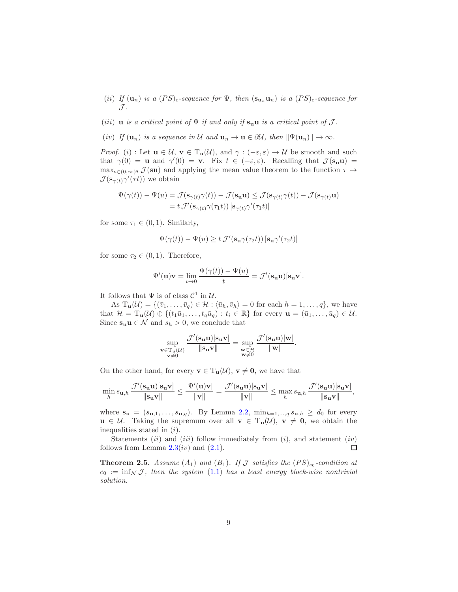- (ii) If  $(\mathbf{u}_n)$  is a  $(PS)_c$ -sequence for  $\Psi$ , then  $(\mathbf{s}_{\mathbf{u}_n}\mathbf{u}_n)$  is a  $(PS)_c$ -sequence for  $\mathcal{J}.$
- (iii) u is a critical point of  $\Psi$  if and only if  $s_u u$  is a critical point of  $\mathcal J$ .
- (iv) If  $(\mathbf{u}_n)$  is a sequence in U and  $\mathbf{u}_n \to \mathbf{u} \in \partial \mathcal{U}$ , then  $\|\Psi(\mathbf{u}_n)\| \to \infty$ .

*Proof.* (i) : Let  $u \in \mathcal{U}$ ,  $v \in T_u(\mathcal{U})$ , and  $\gamma : (-\varepsilon, \varepsilon) \to \mathcal{U}$  be smooth and such that  $\gamma(0) = \mathbf{u}$  and  $\gamma'(0) = \mathbf{v}$ . Fix  $t \in (-\varepsilon, \varepsilon)$ . Recalling that  $\mathcal{J}(\mathbf{s}_{\mathbf{u}} \mathbf{u}) =$  $\max_{\mathbf{s}\in(0,\infty)^q} \mathcal{J}(\mathbf{s}\mathbf{u})$  and applying the mean value theorem to the function  $\tau \mapsto$  $\mathcal{J}(\mathbf{s}_{\gamma(t)}\gamma'(\tau t))$  we obtain

$$
\Psi(\gamma(t)) - \Psi(u) = \mathcal{J}(\mathbf{s}_{\gamma(t)}\gamma(t)) - \mathcal{J}(\mathbf{s}_{\mathbf{u}}\mathbf{u}) \le \mathcal{J}(\mathbf{s}_{\gamma(t)}\gamma(t)) - \mathcal{J}(\mathbf{s}_{\gamma(t)}\mathbf{u})
$$
  
=  $t \mathcal{J}'(\mathbf{s}_{\gamma(t)}\gamma(\tau_1 t)) [\mathbf{s}_{\gamma(t)}\gamma'(\tau_1 t)]$ 

for some  $\tau_1 \in (0,1)$ . Similarly,

$$
\Psi(\gamma(t)) - \Psi(u) \geq t \mathcal{J}'(\mathbf{s_u}\gamma(\tau_2 t)) \left[\mathbf{s_u}\gamma'(\tau_2 t)\right]
$$

for some  $\tau_2 \in (0,1)$ . Therefore,

$$
\Psi'(\mathbf{u})\mathbf{v} = \lim_{t \to 0} \frac{\Psi(\gamma(t)) - \Psi(u)}{t} = \mathcal{J}'(\mathbf{s}_{\mathbf{u}}\mathbf{u})[\mathbf{s}_{\mathbf{u}}\mathbf{v}].
$$

It follows that  $\Psi$  is of class  $\mathcal{C}^1$  in  $\mathcal{U}$ .

As  $T_{\mathbf{u}}(\mathcal{U}) = \{(\bar{v}_1, \ldots, \bar{v}_q) \in \mathcal{H} : \langle \bar{u}_h, \bar{v}_h \rangle = 0 \text{ for each } h = 1, \ldots, q\}$ , we have that  $\mathcal{H} = \mathrm{T}_{\mathbf{u}}(\mathcal{U}) \oplus \{(t_1\bar{u}_1,\ldots,t_q\bar{u}_q): t_i \in \mathbb{R}\}$  for every  $\mathbf{u} = (\bar{u}_1,\ldots,\bar{u}_q) \in \mathcal{U}$ . Since  $\mathbf{s}_\mathbf{u} \mathbf{u} \in \mathcal{N}$  and  $s_h > 0$ , we conclude that

$$
\sup_{\substack{\mathbf{v}\in \mathrm{T}_{\mathbf{u}}(\mathcal{U})\\ \mathbf{v}\neq 0}}\frac{\mathcal{J}'(\mathbf{s}_{\mathbf{u}}\mathbf{u})[\mathbf{s}_{\mathbf{u}}\mathbf{v}]}{\|\mathbf{s}_{\mathbf{u}}\mathbf{v}\|}=\sup_{\substack{\mathbf{w}\in \mathcal{H}\\ \mathbf{w}\neq 0}}\frac{\mathcal{J}'(\mathbf{s}_{\mathbf{u}}\mathbf{u})[\mathbf{w}]}{\|\mathbf{w}\|}.
$$

On the other hand, for every  $\mathbf{v} \in T_{\mathbf{u}}(\mathcal{U}), \mathbf{v} \neq \mathbf{0}$ , we have that

$$
\min_h s_{\mathbf{u},h} \frac{\mathcal{J}'(\mathbf{s}_{\mathbf{u}}\mathbf{u})[\mathbf{s}_{\mathbf{u}}\mathbf{v}]}{\|\mathbf{s}_{\mathbf{u}}\mathbf{v}\|} \le \frac{|\Psi'(\mathbf{u})\mathbf{v}|}{\|\mathbf{v}\|} = \frac{\mathcal{J}'(\mathbf{s}_{\mathbf{u}}\mathbf{u})[\mathbf{s}_{\mathbf{u}}\mathbf{v}]}{\|\mathbf{v}\|} \le \max_h s_{\mathbf{u},h} \frac{\mathcal{J}'(\mathbf{s}_{\mathbf{u}}\mathbf{u})[\mathbf{s}_{\mathbf{u}}\mathbf{v}]}{\|\mathbf{s}_{\mathbf{u}}\mathbf{v}\|},
$$

where  $\mathbf{s_u} = (s_{\mathbf{u},1}, \ldots, s_{\mathbf{u},q})$ . By Lemma 2.2,  $\min_{h=1,\ldots,q} s_{\mathbf{u},h} \geq d_0$  for every  $u \in \mathcal{U}$ . Taking the supremum over all  $v \in T_u(\mathcal{U}), v \neq 0$ , we obtain the inequalities stated in (i).

Statements  $(ii)$  and  $(iii)$  follow immediately from  $(i)$ , and statement  $(iv)$ follows from Lemma  $2.3(iv)$  and  $(2.1)$ .  $\Box$ 

<span id="page-8-0"></span>**Theorem 2.5.** Assume  $(A_1)$  and  $(B_1)$ . If J satisfies the  $(PS)_{c_0}$ -condition at  $c_0 := \inf_{\mathcal{N}} \mathcal{J}$ , then the system [\(1.1\)](#page-0-0) has a least energy block-wise nontrivial solution.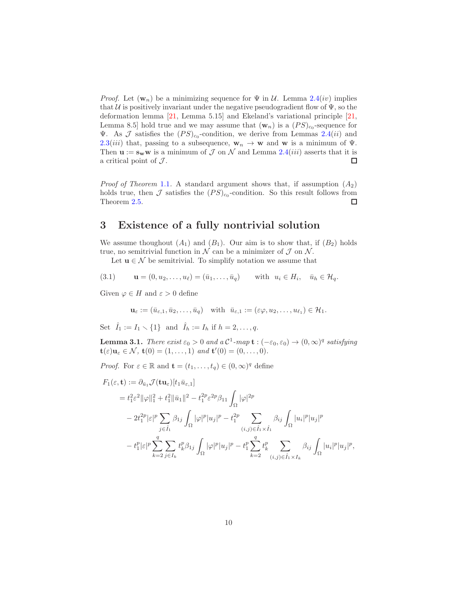*Proof.* Let  $(\mathbf{w}_n)$  be a minimizing sequence for  $\Psi$  in  $\mathcal{U}$ . Lemma 2.4(*iv*) implies that  $U$  is positively invariant under the negative pseudogradient flow of  $\Psi$ , so the deformation lemma [\[21,](#page-23-8) Lemma 5.15] and Ekeland's variational principle [\[21,](#page-23-8) Lemma 8.5] hold true and we may assume that  $(\mathbf{w}_n)$  is a  $(PS)_{c_0}$ -sequence for **V**. As  $\mathcal J$  satisfies the  $(PS)_{c_0}$ -condition, we derive from Lemmas 2.4(*ii*) and 2.3(*iii*) that, passing to a subsequence,  $w_n \to w$  and w is a minimum of  $\Psi$ . Then  $\mathbf{u} := \mathbf{s_w w}$  is a minimum of  $\mathcal J$  on  $\mathcal N$  and Lemma 2.4(*iii*) asserts that it is a critical point of  $\mathcal{J}$ .  $\Box$ 

*Proof of Theorem* [1.1](#page-1-0). A standard argument shows that, if assumption  $(A_2)$ holds true, then  $\mathcal J$  satisfies the  $(PS)_{c_0}$ -condition. So this result follows from Theorem [2.5.](#page-8-0)  $\Box$ 

# <span id="page-9-0"></span>3 Existence of a fully nontrivial solution

We assume thoughout  $(A_1)$  and  $(B_1)$ . Our aim is to show that, if  $(B_2)$  holds true, no semitrivial function in  $\mathcal N$  can be a minimizer of  $\mathcal J$  on  $\mathcal N$ .

<span id="page-9-1"></span>Let  $u \in \mathcal{N}$  be semitrivial. To simplify notation we assume that

(3.1) 
$$
\mathbf{u} = (0, u_2, \dots, u_\ell) = (\bar{u}_1, \dots, \bar{u}_q)
$$
 with  $u_i \in H_i$ ,  $\bar{u}_h \in \mathcal{H}_q$ .

Given  $\varphi \in H$  and  $\varepsilon > 0$  define

$$
\mathbf{u}_{\varepsilon} := (\bar{u}_{\varepsilon,1}, \bar{u}_2, \dots, \bar{u}_q) \quad \text{with} \quad \bar{u}_{\varepsilon,1} := (\varepsilon \varphi, u_2, \dots, u_{\ell_1}) \in \mathcal{H}_1.
$$

Set  $\hat{I}_1 := I_1 \setminus \{1\}$  and  $\hat{I}_h := I_h$  if  $h = 2, \ldots, q$ .

<span id="page-9-2"></span>**Lemma 3.1.** There exist  $\varepsilon_0 > 0$  and  $a C^1$ -map  $\mathbf{t} : (-\varepsilon_0, \varepsilon_0) \to (0, \infty)^q$  satisfying  $\mathbf{t}(\varepsilon)\mathbf{u}_{\varepsilon} \in \mathcal{N}, \ \mathbf{t}(0) = (1, \ldots, 1) \ \text{and} \ \mathbf{t}'(0) = (0, \ldots, 0).$ 

*Proof.* For  $\varepsilon \in \mathbb{R}$  and  $\mathbf{t} = (t_1, \ldots, t_q) \in (0, \infty)^q$  define

$$
F_1(\varepsilon, \mathbf{t}) := \partial_{\bar{u}_1} \mathcal{J}(\mathbf{t} \mathbf{u}_{\varepsilon}) [t_1 \bar{u}_{\varepsilon,1}]
$$
  
\n
$$
= t_1^2 \varepsilon^2 ||\varphi||_1^2 + t_1^2 ||\bar{u}_1||^2 - t_1^{2p} \varepsilon^{2p} \beta_{11} \int_{\Omega} |\varphi|^{2p}
$$
  
\n
$$
- 2t_1^{2p} |\varepsilon|^p \sum_{j \in \hat{I}_1} \beta_{1j} \int_{\Omega} |\varphi|^p |u_j|^p - t_1^{2p} \sum_{(i,j) \in \hat{I}_1 \times \hat{I}_1} \beta_{ij} \int_{\Omega} |u_i|^p |u_j|^p
$$
  
\n
$$
- t_1^p |\varepsilon|^p \sum_{k=2}^q \sum_{j \in I_k} t_k^p \beta_{1j} \int_{\Omega} |\varphi|^p |u_j|^p - t_1^p \sum_{k=2}^q t_k^p \sum_{(i,j) \in \hat{I}_1 \times I_k} \beta_{ij} \int_{\Omega} |u_i|^p |u_j|^p,
$$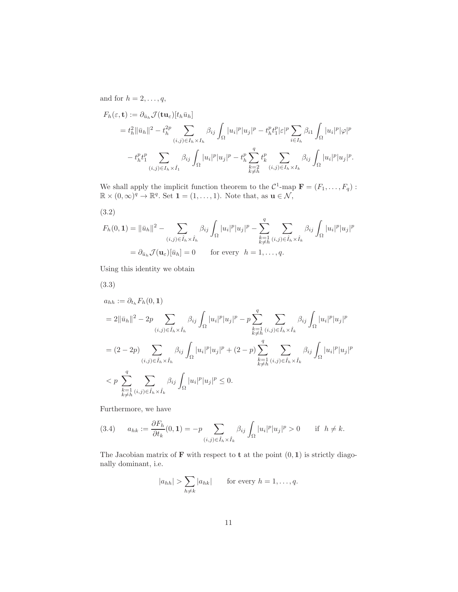and for  $h = 2, \ldots, q$ ,

$$
F_h(\varepsilon, \mathbf{t}) := \partial_{\bar{u}_h} \mathcal{J}(\mathbf{t} \mathbf{u}_{\varepsilon}) [t_h \bar{u}_h]
$$
  
\n
$$
= t_h^2 \|\bar{u}_h\|^2 - t_h^{2p} \sum_{(i,j) \in I_h \times I_h} \beta_{ij} \int_{\Omega} |u_i|^p |u_j|^p - t_h^p t_1^p |\varepsilon|^p \sum_{i \in I_h} \beta_{i1} \int_{\Omega} |u_i|^p |\varphi|^p
$$
  
\n
$$
- t_h^p t_1^p \sum_{(i,j) \in I_h \times \hat{I}_1} \beta_{ij} \int_{\Omega} |u_i|^p |u_j|^p - t_h^p \sum_{\substack{k=2 \ k \neq h}}^q t_k^p \sum_{(i,j) \in I_h \times I_k} \beta_{ij} \int_{\Omega} |u_i|^p |u_j|^p.
$$

We shall apply the implicit function theorem to the  $\mathcal{C}^1$ -map  $\mathbf{F} = (F_1, \ldots, F_q)$ :  $\mathbb{R} \times (0, \infty)^q \to \mathbb{R}^q$ . Set  $\mathbf{1} = (1, \ldots, 1)$ . Note that, as  $\mathbf{u} \in \mathcal{N}$ ,

<span id="page-10-0"></span>(3.2)

$$
F_h(0,1) = \|\bar{u}_h\|^2 - \sum_{(i,j)\in\hat{I}_h\times\hat{I}_h} \beta_{ij} \int_{\Omega} |u_i|^p |u_j|^p - \sum_{\substack{k=1 \ k\neq h}}^q \sum_{(i,j)\in\hat{I}_h\times\hat{I}_k} \beta_{ij} \int_{\Omega} |u_i|^p |u_j|^p
$$
  
=  $\partial_{\bar{u}_h} \mathcal{J}(\mathbf{u}_\varepsilon)[\bar{u}_h] = 0$  for every  $h = 1,\ldots,q$ .

Using this identity we obtain

<span id="page-10-1"></span>(3.3)

$$
a_{hh} := \partial_{t_h} F_h(0, 1)
$$
  
\n
$$
= 2 \|\bar{u}_h\|^2 - 2p \sum_{(i,j) \in \hat{I}_h \times \hat{I}_h} \beta_{ij} \int_{\Omega} |u_i|^p |u_j|^p - p \sum_{\substack{k=1 \ k \neq h}}^q \sum_{(i,j) \in \hat{I}_h \times \hat{I}_k} \beta_{ij} \int_{\Omega} |u_i|^p |u_j|^p
$$
  
\n
$$
= (2 - 2p) \sum_{(i,j) \in \hat{I}_h \times \hat{I}_h} \beta_{ij} \int_{\Omega} |u_i|^p |u_j|^p + (2 - p) \sum_{\substack{k=1 \ k \neq h}}^q \sum_{(i,j) \in \hat{I}_h \times \hat{I}_k} \beta_{ij} \int_{\Omega} |u_i|^p |u_j|^p
$$
  
\n
$$
< p \sum_{\substack{k=1 \ k \neq h}}^q \sum_{(i,j) \in \hat{I}_h \times \hat{I}_k} \beta_{ij} \int_{\Omega} |u_i|^p |u_j|^p \le 0.
$$

Furthermore, we have

<span id="page-10-2"></span>(3.4) 
$$
a_{hk} := \frac{\partial F_h}{\partial t_k}(0,1) = -p \sum_{(i,j) \in \hat{I}_h \times \hat{I}_k} \beta_{ij} \int_{\Omega} |u_i|^p |u_j|^p > 0 \quad \text{if } h \neq k.
$$

The Jacobian matrix of  $\bf{F}$  with respect to  $\bf{t}$  at the point  $(0,1)$  is strictly diagonally dominant, i.e.

$$
|a_{hh}| > \sum_{h \neq k} |a_{hk}| \quad \text{for every } h = 1, \dots, q.
$$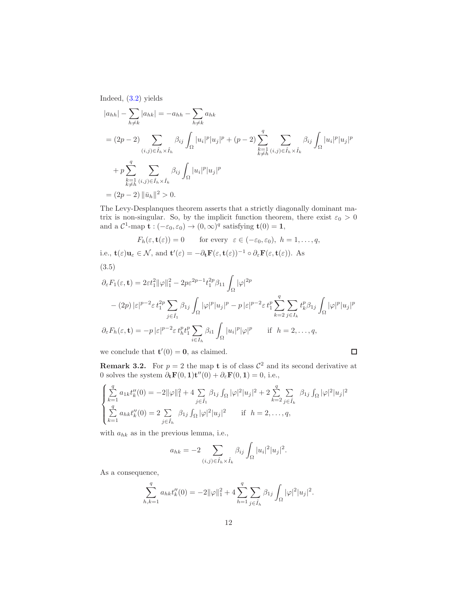Indeed, [\(3.2\)](#page-10-0) yields

$$
|a_{hh}| - \sum_{h \neq k} |a_{hk}| = -a_{hh} - \sum_{h \neq k} a_{hk}
$$
  
=  $(2p - 2) \sum_{(i,j) \in \hat{I}_h \times \hat{I}_h} \beta_{ij} \int_{\Omega} |u_i|^p |u_j|^p + (p - 2) \sum_{\substack{k=1 \ k \neq h}}^q \sum_{(i,j) \in \hat{I}_h \times \hat{I}_k} \beta_{ij} \int_{\Omega} |u_i|^p |u_j|^p$   
+  $p \sum_{\substack{k=1 \ k \neq h}}^q \sum_{(i,j) \in \hat{I}_h \times \hat{I}_k} \beta_{ij} \int_{\Omega} |u_i|^p |u_j|^p$   
=  $(2p - 2) ||\bar{u}_h||^2 > 0$ .

The Levy-Desplanques theorem asserts that a strictly diagonally dominant matrix is non-singular. So, by the implicit function theorem, there exist  $\varepsilon_0 > 0$ and a  $\mathcal{C}^1$ -map  $\mathbf{t} : (-\varepsilon_0, \varepsilon_0) \to (0, \infty)^q$  satisfying  $\mathbf{t}(0) = \mathbf{1}$ ,

$$
F_h(\varepsilon, \mathbf{t}(\varepsilon)) = 0
$$
 for every  $\varepsilon \in (-\varepsilon_0, \varepsilon_0), h = 1, ..., q$ ,

<span id="page-11-0"></span>i.e., 
$$
\mathbf{t}(\varepsilon)\mathbf{u}_{\varepsilon} \in \mathcal{N}
$$
, and  $\mathbf{t}'(\varepsilon) = -\partial_{\mathbf{t}} \mathbf{F}(\varepsilon, \mathbf{t}(\varepsilon))^{-1} \circ \partial_{\varepsilon} \mathbf{F}(\varepsilon, \mathbf{t}(\varepsilon))$ . As  
\n(3.5)\n
$$
\partial_{\varepsilon} F_1(\varepsilon, \mathbf{t}) = 2\varepsilon t_1^2 \|\varphi\|_1^2 - 2p\varepsilon^{2p-1} t_1^{2p} \beta_{11} \int |\varphi|^{2p}
$$

$$
\partial_{\varepsilon} F_1(\varepsilon, \mathbf{t}) = 2\varepsilon t_1^2 \|\varphi\|_1^2 - 2p\varepsilon^{2p-1} t_1^{2p} \beta_{11} \int_{\Omega} |\varphi|^{2p}
$$

$$
- (2p) |\varepsilon|^{p-2} \varepsilon t_1^{2p} \sum_{j \in \hat{I}_1} \beta_{1j} \int_{\Omega} |\varphi|^p |u_j|^p - p |\varepsilon|^{p-2} \varepsilon t_1^p \sum_{k=2}^q \sum_{j \in I_k} t_k^p \beta_{1j} \int_{\Omega} |\varphi|^p |u_j|^p
$$

$$
\partial_{\varepsilon} F_h(\varepsilon, \mathbf{t}) = -p |\varepsilon|^{p-2} \varepsilon t_h^p t_1^p \sum_{i \in I_h} \beta_{i1} \int_{\Omega} |u_i|^p |\varphi|^p \quad \text{if } h = 2, \dots, q,
$$

we conclude that  $\mathbf{t}'(0) = \mathbf{0}$ , as claimed.

<span id="page-11-1"></span>**Remark 3.2.** For  $p = 2$  the map **t** is of class  $\mathcal{C}^2$  and its second derivative at 0 solves the system  $\partial_t \mathbf{F}(0,1) \mathbf{t}''(0) + \partial_{\varepsilon} \mathbf{F}(0,1) = 0$ , i.e.,

 $\Box$ 

$$
\begin{cases} \sum_{k=1}^{q} a_{1k} t_k''(0) = -2 \|\varphi\|_1^2 + 4 \sum_{j \in \hat{I}_1} \beta_{1j} \int_{\Omega} |\varphi|^2 |u_j|^2 + 2 \sum_{k=2}^{q} \sum_{j \in \hat{I}_k} \beta_{1j} \int_{\Omega} |\varphi|^2 |u_j|^2 \\ \sum_{k=1}^{q} a_{hk} t_k''(0) = 2 \sum_{j \in \hat{I}_h} \beta_{1j} \int_{\Omega} |\varphi|^2 |u_j|^2 \quad \text{if } h = 2, \dots, q, \end{cases}
$$

with  $a_{hk}$  as in the previous lemma, i.e.,

$$
a_{hk} = -2 \sum_{(i,j)\in \hat{I}_h \times \hat{I}_k} \beta_{ij} \int_{\Omega} |u_i|^2 |u_j|^2.
$$

As a consequence,

$$
\sum_{h,k=1}^{q} a_{hk} t_k''(0) = -2\|\varphi\|_1^2 + 4\sum_{h=1}^{q} \sum_{j \in \hat{I}_h} \beta_{1j} \int_{\Omega} |\varphi|^2 |u_j|^2.
$$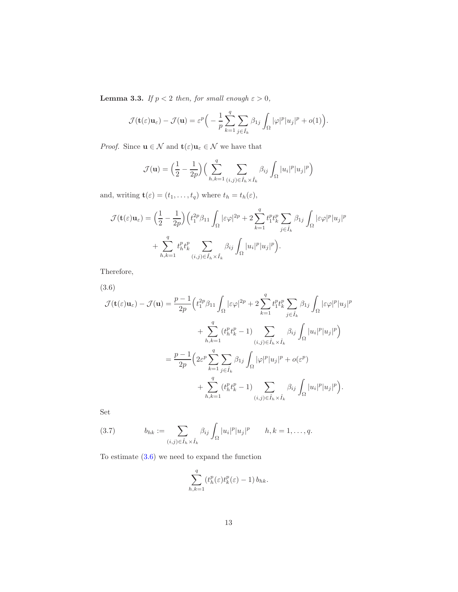<span id="page-12-2"></span>**Lemma 3.3.** If  $p < 2$  then, for small enough  $\varepsilon > 0$ ,

$$
\mathcal{J}(\mathbf{t}(\varepsilon)\mathbf{u}_{\varepsilon}) - \mathcal{J}(\mathbf{u}) = \varepsilon^{p} \Big( -\frac{1}{p} \sum_{k=1}^{q} \sum_{j \in \hat{I}_{k}} \beta_{1j} \int_{\Omega} |\varphi|^{p} |u_{j}|^{p} + o(1) \Big).
$$

*Proof.* Since  $\mathbf{u} \in \mathcal{N}$  and  $\mathbf{t}(\varepsilon)\mathbf{u}_{\varepsilon} \in \mathcal{N}$  we have that

$$
\mathcal{J}(\mathbf{u}) = \left(\frac{1}{2} - \frac{1}{2p}\right) \left(\sum_{h,k=1}^{q} \sum_{(i,j) \in \hat{I}_h \times \hat{I}_k} \beta_{ij} \int_{\Omega} |u_i|^p |u_j|^p\right)
$$

and, writing  $\mathbf{t}(\varepsilon) = (t_1, \ldots, t_q)$  where  $t_h = t_h(\varepsilon)$ ,

$$
\mathcal{J}(\mathbf{t}(\varepsilon)\mathbf{u}_{\varepsilon}) = \left(\frac{1}{2} - \frac{1}{2p}\right) \left(t_1^{2p}\beta_{11} \int_{\Omega} |\varepsilon\varphi|^{2p} + 2 \sum_{k=1}^q t_1^p t_k^p \sum_{j \in \hat{I}_k} \beta_{1j} \int_{\Omega} |\varepsilon\varphi|^p |u_j|^p + \sum_{h,k=1}^q t_h^p t_k^p \sum_{(i,j) \in \hat{I}_h \times \hat{I}_k} \beta_{ij} \int_{\Omega} |u_i|^p |u_j|^p\right).
$$

Therefore,

<span id="page-12-0"></span>(3.6)

$$
\mathcal{J}(\mathbf{t}(\varepsilon)\mathbf{u}_{\varepsilon}) - \mathcal{J}(\mathbf{u}) = \frac{p-1}{2p} \Big( t_1^{2p} \beta_{11} \int_{\Omega} |\varepsilon \varphi|^{2p} + 2 \sum_{k=1}^q t_1^p t_k^p \sum_{j \in \hat{I}_k} \beta_{1j} \int_{\Omega} |\varepsilon \varphi|^p |u_j|^p
$$
  
+ 
$$
\sum_{h,k=1}^q (t_h^p t_k^p - 1) \sum_{(i,j) \in \hat{I}_h \times \hat{I}_k} \beta_{ij} \int_{\Omega} |u_i|^p |u_j|^p \Big)
$$
  
= 
$$
\frac{p-1}{2p} \Big( 2\varepsilon^p \sum_{k=1}^q \sum_{j \in \hat{I}_k} \beta_{1j} \int_{\Omega} |\varphi|^p |u_j|^p + o(\varepsilon^p)
$$
  
+ 
$$
\sum_{h,k=1}^q (t_h^p t_k^p - 1) \sum_{(i,j) \in \hat{I}_h \times \hat{I}_k} \beta_{ij} \int_{\Omega} |u_i|^p |u_j|^p \Big).
$$

Set

<span id="page-12-1"></span>(3.7) 
$$
b_{hk} := \sum_{(i,j) \in \hat{I}_h \times \hat{I}_k} \beta_{ij} \int_{\Omega} |u_i|^p |u_j|^p \qquad h, k = 1, ..., q.
$$

To estimate [\(3.6\)](#page-12-0) we need to expand the function

$$
\sum_{h,k=1}^q (t^p_h(\varepsilon)t^p_k(\varepsilon) - 1) b_{hk}.
$$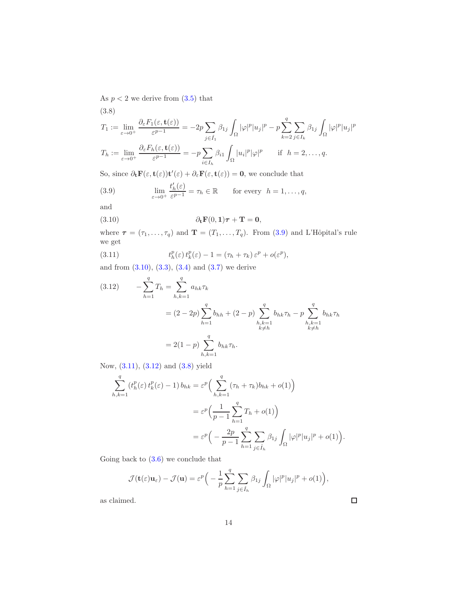As  $p < 2$  we derive from  $(3.5)$  that

<span id="page-13-4"></span>(3.8)  
\n
$$
T_1 := \lim_{\varepsilon \to 0^+} \frac{\partial_{\varepsilon} F_1(\varepsilon, \mathbf{t}(\varepsilon))}{\varepsilon^{p-1}} = -2p \sum_{j \in \hat{I}_1} \beta_{1j} \int_{\Omega} |\varphi|^p |u_j|^p - p \sum_{k=2}^q \sum_{j \in I_k} \beta_{1j} \int_{\Omega} |\varphi|^p |u_j|^p
$$
\n
$$
T_h := \lim_{\varepsilon \to 0^+} \frac{\partial_{\varepsilon} F_h(\varepsilon, \mathbf{t}(\varepsilon))}{\varepsilon^{p-1}} = -p \sum_{i \in I_h} \beta_{i1} \int_{\Omega} |u_i|^p |\varphi|^p \quad \text{if } h = 2, \dots, q.
$$

So, since  $\partial_t \mathbf{F}(\varepsilon, \mathbf{t}(\varepsilon)) \mathbf{t}'(\varepsilon) + \partial_\varepsilon \mathbf{F}(\varepsilon, \mathbf{t}(\varepsilon)) = \mathbf{0}$ , we conclude that

<span id="page-13-0"></span>(3.9) 
$$
\lim_{\varepsilon \to 0^+} \frac{t'_h(\varepsilon)}{\varepsilon^{p-1}} = \tau_h \in \mathbb{R} \quad \text{for every } h = 1, \dots, q,
$$

and

<span id="page-13-1"></span>(3.10) 
$$
\partial_t \mathbf{F}(0,1)\boldsymbol{\tau} + \mathbf{T} = \mathbf{0},
$$

where  $\tau = (\tau_1, \ldots, \tau_q)$  and  $\mathbf{T} = (T_1, \ldots, T_q)$ . From [\(3.9\)](#page-13-0) and L'Hôpital's rule we get

<span id="page-13-2"></span>(3.11) 
$$
t^p_h(\varepsilon) t^p_k(\varepsilon) - 1 = (\tau_h + \tau_k) \varepsilon^p + o(\varepsilon^p),
$$

and from  $(3.10), (3.3), (3.4)$  $(3.10), (3.3), (3.4)$  $(3.10), (3.3), (3.4)$  $(3.10), (3.3), (3.4)$  and  $(3.7)$  we derive

<span id="page-13-3"></span>(3.12) 
$$
- \sum_{h=1}^{q} T_h = \sum_{h,k=1}^{q} a_{hk} \tau_k
$$

$$
= (2 - 2p) \sum_{h=1}^{q} b_{hh} + (2 - p) \sum_{\substack{h,k=1 \\ k \neq h}}^{q} b_{hk} \tau_h - p \sum_{\substack{h,k=1 \\ k \neq h}}^{q} b_{hk} \tau_h
$$

$$
= 2(1 - p) \sum_{h,k=1}^{q} b_{hk} \tau_h.
$$

Now, [\(3.11\)](#page-13-2), [\(3.12\)](#page-13-3) and [\(3.8\)](#page-13-4) yield

$$
\sum_{h,k=1}^{q} (t_h^p(\varepsilon) t_k^p(\varepsilon) - 1) b_{hk} = \varepsilon^p \Big( \sum_{h,k=1}^{q} (\tau_h + \tau_k) b_{hk} + o(1) \Big)
$$
  

$$
= \varepsilon^p \Big( \frac{1}{p-1} \sum_{h=1}^{q} T_h + o(1) \Big)
$$
  

$$
= \varepsilon^p \Big( -\frac{2p}{p-1} \sum_{h=1}^{q} \sum_{j \in \hat{I}_h} \beta_{1j} \int_{\Omega} |\varphi|^p |u_j|^p + o(1) \Big)
$$

Going back to  $(3.6)$  we conclude that

$$
\mathcal{J}(\mathbf{t}(\varepsilon)\mathbf{u}_{\varepsilon}) - \mathcal{J}(\mathbf{u}) = \varepsilon^{p} \Big( -\frac{1}{p} \sum_{h=1}^{q} \sum_{j \in \hat{I}_{h}} \beta_{1j} \int_{\Omega} |\varphi|^{p} |u_{j}|^{p} + o(1) \Big),
$$

as claimed.

.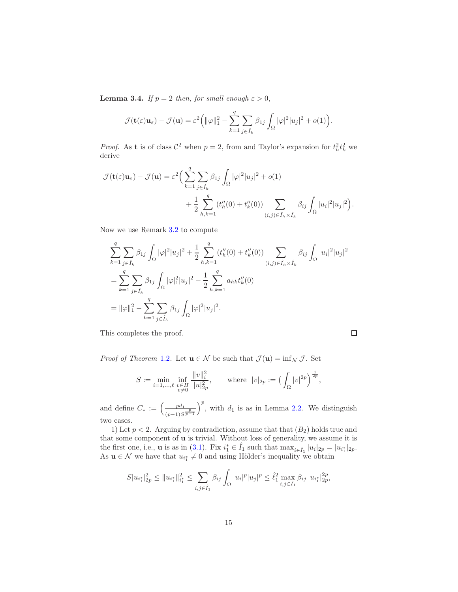<span id="page-14-0"></span>**Lemma 3.4.** If  $p = 2$  then, for small enough  $\varepsilon > 0$ ,

$$
\mathcal{J}(\mathbf{t}(\varepsilon)\mathbf{u}_{\varepsilon}) - \mathcal{J}(\mathbf{u}) = \varepsilon^2 \Big( \|\varphi\|_1^2 - \sum_{k=1}^q \sum_{j \in \hat{I}_k} \beta_{1j} \int_{\Omega} |\varphi|^2 |u_j|^2 + o(1) \Big).
$$

*Proof.* As **t** is of class  $\mathcal{C}^2$  when  $p = 2$ , from and Taylor's expansion for  $t_h^2 t_k^2$  we derive

$$
\mathcal{J}(\mathbf{t}(\varepsilon)\mathbf{u}_{\varepsilon}) - \mathcal{J}(\mathbf{u}) = \varepsilon^{2} \Big( \sum_{k=1}^{q} \sum_{j \in \hat{I}_{k}} \beta_{1j} \int_{\Omega} |\varphi|^{2} |u_{j}|^{2} + o(1) + \frac{1}{2} \sum_{h,k=1}^{q} (t_{h}'(0) + t_{k}'(0)) \sum_{(i,j) \in \hat{I}_{h} \times \hat{I}_{k}} \beta_{ij} \int_{\Omega} |u_{i}|^{2} |u_{j}|^{2} \Big).
$$

Now we use Remark [3.2](#page-11-1) to compute

$$
\sum_{k=1}^{q} \sum_{j \in \hat{I}_k} \beta_{1j} \int_{\Omega} |\varphi|^2 |u_j|^2 + \frac{1}{2} \sum_{h,k=1}^{q} (t''_h(0) + t''_k(0)) \sum_{(i,j) \in \hat{I}_h \times \hat{I}_k} \beta_{ij} \int_{\Omega} |u_i|^2 |u_j|^2
$$
  
= 
$$
\sum_{k=1}^{q} \sum_{j \in \hat{I}_k} \beta_{1j} \int_{\Omega} |\varphi|^2 |u_j|^2 - \frac{1}{2} \sum_{h,k=1}^{q} a_{hk} t''_k(0)
$$
  
= 
$$
||\varphi||_1^2 - \sum_{h=1}^{q} \sum_{j \in \hat{I}_h} \beta_{1j} \int_{\Omega} |\varphi|^2 |u_j|^2.
$$

This completes the proof.

 $\Box$ 

*Proof of Theorem* [1.2](#page-2-0). Let  $\mathbf{u} \in \mathcal{N}$  be such that  $\mathcal{J}(\mathbf{u}) = \inf_{\mathcal{N}} \mathcal{J}$ . Set

$$
S := \min_{i=1,\dots,\ell} \inf_{\substack{v \in H \\ v \neq 0}} \frac{\|v\|_i^2}{|u|_{2p}^2}, \quad \text{where } |v|_{2p} := \left(\int_{\Omega} |v|^{2p}\right)^{\frac{1}{2p}},
$$

and define  $C_* := \left( \frac{pd_1}{\sqrt{pq}} \right)$  $(p-1)S^{\frac{p}{p-1}}$  $\int_{0}^{p}$ , with  $d_1$  is as in Lemma 2.2. We distinguish two cases.

1) Let  $p < 2$ . Arguing by contradiction, assume that that  $(B_2)$  holds true and that some component of u is trivial. Without loss of generality, we assume it is the first one, i.e., **u** is as in [\(3.1\)](#page-9-1). Fix  $i_1^* \in \hat{I}_1$  such that  $\max_{i \in \hat{I}_1} |u_i|_{2p} = |u_{i_1^*}|_{2p}$ . As  $\mathbf{u} \in \mathcal{N}$  we have that  $u_{i_1^*} \neq 0$  and using Hölder's inequality we obtain

$$
S|u_{i_1^*}|_{2p}^2 \leq ||u_{i_1^*}||_{i_1^*}^2 \leq \sum_{i,j \in \hat{I}_1} \beta_{ij} \int_{\Omega} |u_i|^p |u_j|^p \leq \hat{\ell}_1^2 \max_{i,j \in \hat{I}_1} \beta_{ij} |u_{i_1^*}|_{2p}^{2p},
$$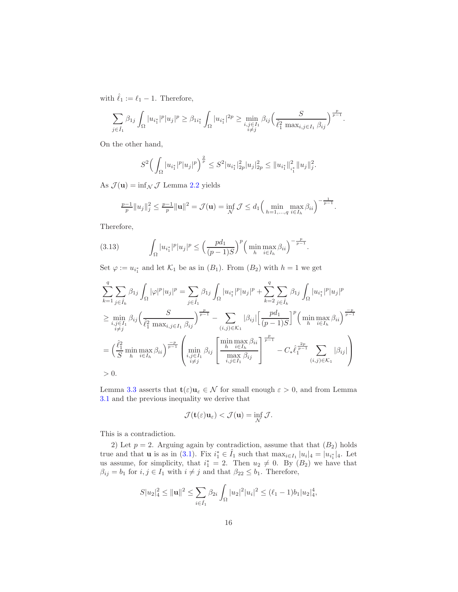with  $\hat{\ell}_1 := \ell_1 - 1$ . Therefore,

$$
\sum_{j \in \hat{I}_1} \beta_{1j} \int_{\Omega} |u_{i_1^*}|^p |u_j|^p \geq \beta_{1i_1^*} \int_{\Omega} |u_{i_1^*}|^{2p} \geq \min_{\substack{i,j \in I_1 \\ i \neq j}} \beta_{ij} \Big( \frac{S}{\hat{\ell}_1^2 \max_{i,j \in I_1} \beta_{ij}} \Big)^{\frac{p}{p-1}}.
$$

On the other hand,

$$
S^{2}\Big(\int_{\Omega}|u_{i_{1}^{*}}|^{p}|u_{j}|^{p}\Big)^{\frac{2}{p}}\leq S^{2}|u_{i_{1}^{*}}|_{2p}^{2}|u_{j}|_{2p}^{2}\leq||u_{i_{1}^{*}}||_{i_{1}^{*}}^{2}||u_{j}||_{j}^{2}.
$$

As  $\mathcal{J}(\mathbf{u}) = \inf_{\mathcal{N}} \mathcal{J}$  Lemma 2.2 yields

$$
\frac{p-1}{p}||u_j||_j^2 \leq \frac{p-1}{p}||\mathbf{u}||^2 = \mathcal{J}(\mathbf{u}) = \inf_{\mathcal{N}} \mathcal{J} \leq d_1 \Big(\min_{h=1,\dots,q} \max_{i \in I_h} \beta_{ii}\Big)^{-\frac{1}{p-1}}.
$$

Therefore,

<span id="page-15-0"></span>(3.13) 
$$
\int_{\Omega} |u_{i_1^*}|^p |u_j|^p \leq \left(\frac{p d_1}{(p-1)S}\right)^p \left(\min_{h} \max_{i \in I_h} \beta_{ii}\right)^{-\frac{p}{p-1}}.
$$

Set  $\varphi := u_{i_1^*}$  and let  $\mathcal{K}_1$  be as in  $(B_1)$ . From  $(B_2)$  with  $h = 1$  we get

$$
\sum_{k=1}^{q} \sum_{j \in \hat{I}_k} \beta_{1j} \int_{\Omega} |\varphi|^p |u_j|^p = \sum_{j \in \hat{I}_1} \beta_{1j} \int_{\Omega} |u_{i_1^*}|^p |u_j|^p + \sum_{k=2}^{q} \sum_{j \in \hat{I}_k} \beta_{1j} \int_{\Omega} |u_{i_1^*}|^p |u_j|^p
$$
  
\n
$$
\geq \min_{\substack{i,j \in I_1 \\ i \neq j}} \beta_{ij} \left( \frac{S}{\hat{\ell}_1^2 \max_{i,j \in I_1} \beta_{ij}} \right)^{\frac{p}{p-1}} - \sum_{(i,j) \in \mathcal{K}_1} |\beta_{ij}| \left[ \frac{pd_1}{(p-1)S} \right]^p \left( \min_{h} \max_{i \in I_h} \beta_{ii} \right)^{\frac{p}{p-1}}
$$
  
\n
$$
= \left( \frac{\hat{\ell}_1^2}{S} \min_{h} \max_{i \in I_h} \beta_{ii} \right)^{\frac{-p}{p-1}} \left( \min_{\substack{i,j \in I_1 \\ i,j \in I_1}} \beta_{ij} \left[ \frac{\min_{h} \max_{i \in I_h} \beta_{ii}}{\max_{i,j \in I_1} \beta_{ij}} \right]^{\frac{p}{p-1}} - C_* \hat{\ell}_1^{\frac{2p}{p-1}} \sum_{(i,j) \in \mathcal{K}_1} |\beta_{ij}| \right)
$$
  
\n
$$
> 0.
$$

Lemma [3.3](#page-12-2) asserts that  $\mathbf{t}(\varepsilon)\mathbf{u}_{\varepsilon} \in \mathcal{N}$  for small enough  $\varepsilon > 0$ , and from Lemma [3.1](#page-9-2) and the previous inequality we derive that

$$
\mathcal{J}(\mathbf{t}(\varepsilon)\mathbf{u}_{\varepsilon}) < \mathcal{J}(\mathbf{u}) = \inf_{\mathcal{N}} \mathcal{J}.
$$

This is a contradiction.

2) Let  $p = 2$ . Arguing again by contradiction, assume that that  $(B_2)$  holds true and that **u** is as in [\(3.1\)](#page-9-1). Fix  $i_1^* \in \hat{I}_1$  such that  $\max_{i \in I_1} |u_i|_4 = |u_{i_1^*}|_4$ . Let us assume, for simplicity, that  $i_1^* = 2$ . Then  $u_2 \neq 0$ . By  $(B_2)$  we have that  $\beta_{ij} = b_1$  for  $i, j \in I_1$  with  $i \neq j$  and that  $\beta_{22} \leq b_1$ . Therefore,

$$
S|u_2|_4^2 \le ||\mathbf{u}||^2 \le \sum_{i \in \hat{I}_1} \beta_{2i} \int_{\Omega} |u_2|^2 |u_i|^2 \le (\ell_1 - 1)b_1 |u_2|_4^4,
$$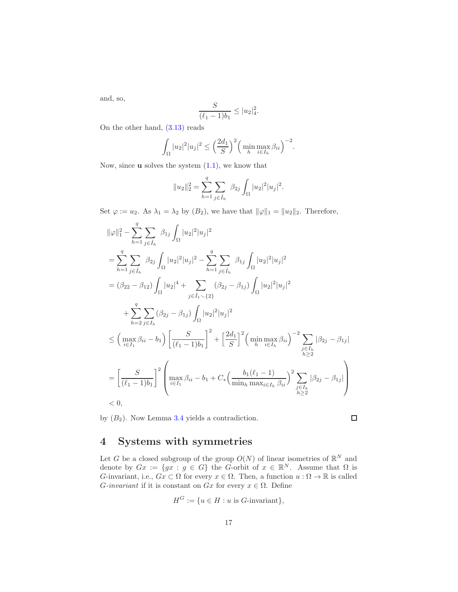and, so,

$$
\frac{S}{(\ell_1-1)b_1} \le |u_2|_4^2.
$$

On the other hand, [\(3.13\)](#page-15-0) reads

$$
\int_{\Omega} |u_2|^2 |u_j|^2 \le \left(\frac{2d_1}{S}\right)^2 \left(\min_{h} \max_{i \in I_h} \beta_{ii}\right)^{-2}.
$$

Now, since  $\bf{u}$  solves the system  $(1.1)$ , we know that

$$
||u_2||_2^2 = \sum_{h=1}^q \sum_{j \in \hat{I}_h} \beta_{2j} \int_{\Omega} |u_2|^2 |u_j|^2.
$$

Set  $\varphi := u_2$ . As  $\lambda_1 = \lambda_2$  by  $(B_2)$ , we have that  $\|\varphi\|_1 = \|u_2\|_2$ . Therefore,

$$
\|\varphi\|_{1}^{2} - \sum_{h=1}^{q} \sum_{j \in \hat{I}_{h}} \beta_{1j} \int_{\Omega} |u_{2}|^{2} |u_{j}|^{2}
$$
  
\n
$$
= \sum_{h=1}^{q} \sum_{j \in \hat{I}_{h}} \beta_{2j} \int_{\Omega} |u_{2}|^{2} |u_{j}|^{2} - \sum_{h=1}^{q} \sum_{j \in \hat{I}_{h}} \beta_{1j} \int_{\Omega} |u_{2}|^{2} |u_{j}|^{2}
$$
  
\n
$$
= (\beta_{22} - \beta_{12}) \int_{\Omega} |u_{2}|^{4} + \sum_{j \in \hat{I}_{1} \setminus \{2\}} (\beta_{2j} - \beta_{1j}) \int_{\Omega} |u_{2}|^{2} |u_{j}|^{2}
$$
  
\n
$$
+ \sum_{h=2}^{q} \sum_{j \in I_{h}} (\beta_{2j} - \beta_{1j}) \int_{\Omega} |u_{2}|^{2} |u_{j}|^{2}
$$
  
\n
$$
\leq \left( \max_{i \in I_{1}} \beta_{ii} - b_{1} \right) \left[ \frac{S}{(\ell_{1} - 1)b_{1}} \right]^{2} + \left[ \frac{2d_{1}}{S} \right]^{2} \left( \min_{h} \max_{i \in I_{h}} \beta_{ii} \right)^{-2} \sum_{\substack{j \in I_{h} \\ h \geq 2}} |\beta_{2j} - \beta_{1j}|
$$
  
\n
$$
= \left[ \frac{S}{(\ell_{1} - 1)b_{1}} \right]^{2} \left( \max_{i \in I_{1}} \beta_{ii} - b_{1} + C_{*} \left( \frac{b_{1}(\ell_{1} - 1)}{\min_{h} \max_{i \in I_{h}} \beta_{ii}} \right)^{2} \sum_{\substack{j \in I_{h} \\ h \geq 2}} |\beta_{2j} - \beta_{1j}|
$$
  
\n
$$
< 0,
$$

by  $(B_2)$ . Now Lemma [3.4](#page-14-0) yields a contradiction.

 $\Box$ 

# <span id="page-16-0"></span>4 Systems with symmetries

Let G be a closed subgroup of the group  $O(N)$  of linear isometries of  $\mathbb{R}^N$  and denote by  $Gx := \{gx : g \in G\}$  the G-orbit of  $x \in \mathbb{R}^N$ . Assume that  $\Omega$  is G-invariant, i.e.,  $Gx \subset \Omega$  for every  $x \in \Omega$ . Then, a function  $u : \Omega \to \mathbb{R}$  is called G-invariant if it is constant on Gx for every  $x \in \Omega$ . Define

$$
H^G := \{ u \in H : u \text{ is } G\text{-invariant} \},
$$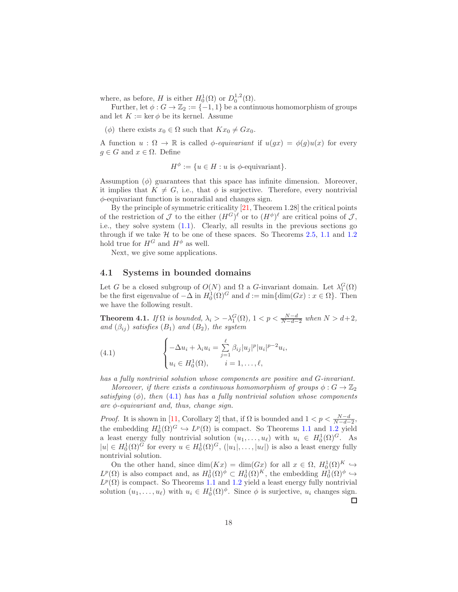where, as before, H is either  $H_0^1(\Omega)$  or  $D_0^{1,2}(\Omega)$ .

Further, let  $\phi : G \to \mathbb{Z}_2 := \{-1,1\}$  be a continuous homomorphism of groups and let  $K := \ker \phi$  be its kernel. Assume

( $\phi$ ) there exists  $x_0 \in \Omega$  such that  $Kx_0 \neq Gx_0$ .

A function  $u : \Omega \to \mathbb{R}$  is called  $\phi$ -equivariant if  $u(gx) = \phi(g)u(x)$  for every  $g \in G$  and  $x \in \Omega$ . Define

$$
H^{\phi} := \{ u \in H : u \text{ is } \phi\text{-equivariant} \}.
$$

Assumption  $(\phi)$  guarantees that this space has infinite dimension. Moreover, it implies that  $K \neq G$ , i.e., that  $\phi$  is surjective. Therefore, every nontrivial φ-equivariant function is nonradial and changes sign.

By the principle of symmetric criticality [\[21,](#page-23-8) Theorem 1.28] the critical points of the restriction of  $\mathcal J$  to the either  $(H^G)^\ell$  or to  $(H^\phi)^\ell$  are critical poins of  $\mathcal J$ , i.e., they solve system [\(1.1\)](#page-0-0). Clearly, all results in the previous sections go through if we take  $H$  to be one of these spaces. So Theorems [2.5,](#page-8-0) [1.1](#page-1-0) and [1.2](#page-2-0) hold true for  $H^G$  and  $H^{\phi}$  as well.

Next, we give some applications.

#### 4.1 Systems in bounded domains

Let G be a closed subgroup of  $O(N)$  and  $\Omega$  a G-invariant domain. Let  $\lambda_1^G(\Omega)$ be the first eigenvalue of  $-\Delta$  in  $H_0^1(\Omega)^G$  and  $d := \min\{\dim(Gx) : x \in \Omega\}$ . Then we have the following result.

<span id="page-17-1"></span>**Theorem 4.1.** If  $\Omega$  is bounded,  $\lambda_i > -\lambda_1^G(\Omega)$ ,  $1 < p < \frac{N-d}{N-d-2}$  when  $N > d+2$ , and  $(\beta_{ij})$  satisfies  $(B_1)$  and  $(B_2)$ , the system

<span id="page-17-0"></span>(4.1) 
$$
\begin{cases} -\Delta u_i + \lambda_i u_i = \sum_{j=1}^{\ell} \beta_{ij} |u_j|^p |u_i|^{p-2} u_i, \\ u_i \in H_0^1(\Omega), \qquad i = 1, \dots, \ell, \end{cases}
$$

has a fully nontrivial solution whose components are positive and G-invariant.

Moreover, if there exists a continuous homomorphism of groups  $\phi: G \to \mathbb{Z}_2$ satisfying  $(\phi)$ , then  $(4.1)$  has has a fully nontrivial solution whose components are  $\phi$ -equivariant and, thus, change sign.

*Proof.* It is shown in [\[11,](#page-23-9) Corollary 2] that, if  $\Omega$  is bounded and  $1 < p < \frac{N-d}{N-d-2}$ , the embedding  $H_0^1(\Omega)^G \hookrightarrow L^p(\Omega)$  is compact. So Theorems [1.1](#page-1-0) and [1.2](#page-2-0) yield a least energy fully nontrivial solution  $(u_1, \ldots, u_\ell)$  with  $u_i \in H_0^1(\Omega)^G$ . As  $|u| \in H_0^1(\Omega)^G$  for every  $u \in H_0^1(\Omega)^G$ ,  $(|u_1|, \ldots, |u_\ell|)$  is also a least energy fully nontrivial solution.

On the other hand, since  $\dim(Kx) = \dim(Gx)$  for all  $x \in \Omega$ ,  $H_0^1(\Omega)^K \hookrightarrow$  $L^p(\Omega)$  is also compact and, as  $H_0^1(\Omega)^\phi \subset H_0^1(\Omega)^K$ , the embedding  $H_0^1(\Omega)^\phi \hookrightarrow$  $L^p(\Omega)$  is compact. So Theorems [1.1](#page-1-0) and [1.2](#page-2-0) yield a least energy fully nontrivial solution  $(u_1, \ldots, u_\ell)$  with  $u_i \in H_0^1(\Omega)^\phi$ . Since  $\phi$  is surjective,  $u_i$  changes sign.  $\Box$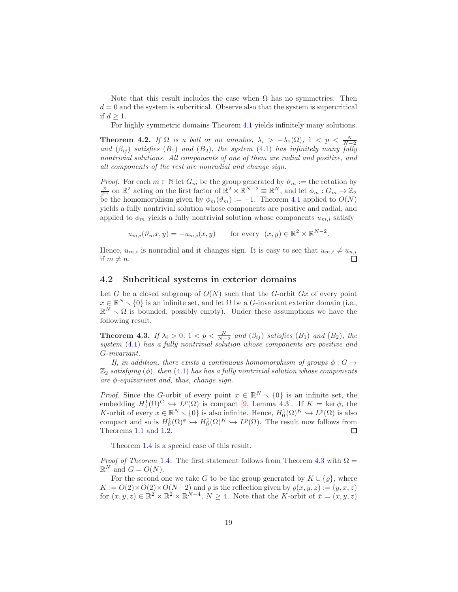Note that this result includes the case when  $\Omega$  has no symmetries. Then  $d = 0$  and the system is subcritical. Observe also that the system is supercritical if  $d \geq 1$ .

For highly symmetric domains Theorem [4.1](#page-17-1) yields infinitely many solutions.

**Theorem 4.2.** If  $\Omega$  is a ball or an annulus,  $\lambda_i > -\lambda_1(\Omega)$ ,  $1 < p < \frac{N}{N-2}$ <br>and  $(\beta_{ij})$  satisfies  $(B_1)$  and  $(B_2)$ , the system  $(4.1)$  has infinitely many fully nontrivial solutions. All components of one of them are radial and positive, and all components of the rest are nonradial and change sign.

*Proof.* For each  $m \in \mathbb{N}$  let  $G_m$  be the group generated by  $\vartheta_m :=$  the rotation by  $\frac{\pi}{2^m}$  on  $\mathbb{R}^2$  acting on the first factor of  $\mathbb{R}^2 \times \mathbb{R}^{N-2} \equiv \mathbb{R}^N$ , and let  $\phi_m : G_m \to \mathbb{Z}_2$ be the homomorphism given by  $\phi_m(\vartheta_m) := -1$ . Theorem [4.1](#page-17-1) applied to  $O(N)$ yields a fully nontrivial solution whose components are positive and radial, and applied to  $\phi_m$  yields a fully nontrivial solution whose components  $u_{m,i}$  satisfy

 $u_{m,i}(\vartheta_m x, y) = -u_{m,i}(x, y)$  for every  $(x, y) \in \mathbb{R}^2 \times \mathbb{R}^{N-2}$ .

Hence,  $u_{m,i}$  is nonradial and it changes sign. It is easy to see that  $u_{m,i} \neq u_{n,i}$ if  $m \neq n$ .

#### 4.2 Subcritical systems in exterior domains

Let G be a closed subgroup of  $O(N)$  such that the G-orbit Gx of every point  $x \in \mathbb{R}^N \setminus \{0\}$  is an infinite set, and let  $\Omega$  be a G-invariant exterior domain (i.e.,  $\mathbb{R}^N \setminus \Omega$  is bounded, possibly empty). Under these assumptions we have the following result.

<span id="page-18-0"></span>**Theorem 4.3.** If  $\lambda_i > 0$ ,  $1 < p < \frac{N}{N-2}$  and  $(\beta_{ij})$  satisfies  $(B_1)$  and  $(B_2)$ , the system  $(4.1)$  has a fully nontrivial solution whose components are positive and G-invariant.

If, in addition, there exists a continuous homomorphism of groups  $\phi : G \rightarrow$  $\mathbb{Z}_2$  satisfying ( $\phi$ ), then [\(4.1\)](#page-17-0) has has a fully nontrivial solution whose components are  $\phi$ -equivariant and, thus, change sign.

*Proof.* Since the G-orbit of every point  $x \in \mathbb{R}^N \setminus \{0\}$  is an infinite set, the embedding  $H_0^1(\Omega)^G \hookrightarrow L^p(\Omega)$  is compact [\[9,](#page-22-1) Lemma 4.3]. If  $K = \text{ker }\phi$ , the K-orbit of every  $x \in \mathbb{R}^N \setminus \{0\}$  is also infinite. Hence,  $H_0^1(\Omega)^K \hookrightarrow L^p(\Omega)$  is also compact and so is  $H_0^1(\Omega)^\phi \hookrightarrow H_0^1(\Omega)^K \hookrightarrow L^p(\Omega)$ . The result now follows from Theorems [1.1](#page-1-0) and [1.2.](#page-2-0)  $\Box$ 

Theorem [1.4](#page-3-0) is a special case of this result.

*Proof of Theorem* [1.4](#page-3-0). The first statement follows from Theorem [4.3](#page-18-0) with  $\Omega =$  $\mathbb{R}^N$  and  $G = O(N)$ .

For the second one we take G to be the group generated by  $K \cup {\rho}$ , where  $K := O(2) \times O(2) \times O(N-2)$  and  $\varrho$  is the reflection given by  $\varrho(x, y, z) := (y, x, z)$ for  $(x, y, z) \in \mathbb{R}^2 \times \mathbb{R}^2 \times \mathbb{R}^{N-4}$ ,  $N \geq 4$ . Note that the K-orbit of  $\bar{x} = (x, y, z)$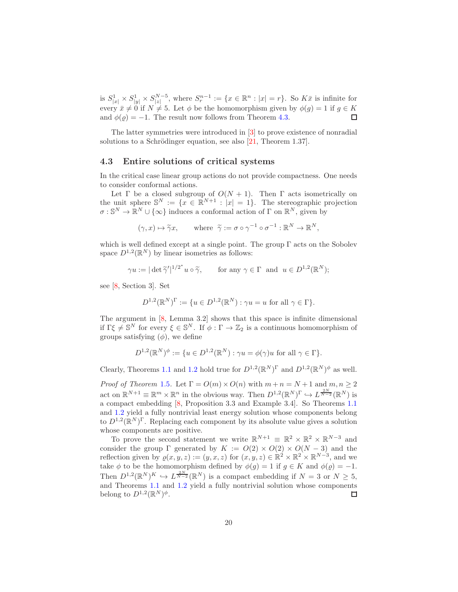is  $S^1_{|x|} \times S^1_{|y|} \times S^{N-5}_{|z|}$ , where  $S^{n-1}_r := \{x \in \mathbb{R}^n : |x| = r\}$ . So  $K\overline{x}$  is infinite for every  $\bar{x} \neq 0$  if  $N \neq 5$ . Let  $\phi$  be the homomorphism given by  $\phi(g) = 1$  if  $g \in K$ and  $\phi(\rho) = -1$ . The result now follows from Theorem [4.3.](#page-18-0) П

The latter symmetries were introduced in [\[3\]](#page-22-7) to prove existence of nonradial solutions to a Schrödinger equation, see also  $[21,$  Theorem 1.37].

#### 4.3 Entire solutions of critical systems

In the critical case linear group actions do not provide compactness. One needs to consider conformal actions.

Let  $\Gamma$  be a closed subgroup of  $O(N + 1)$ . Then  $\Gamma$  acts isometrically on the unit sphere  $\mathbb{S}^N := \{x \in \mathbb{R}^{N+1} : |x| = 1\}.$  The stereographic projection  $\sigma: \mathbb{S}^N \to \mathbb{R}^N \cup \{\infty\}$  induces a conformal action of  $\Gamma$  on  $\mathbb{R}^N$ , given by

$$
(\gamma, x) \mapsto \widetilde{\gamma}x
$$
, where  $\widetilde{\gamma} := \sigma \circ \gamma^{-1} \circ \sigma^{-1} : \mathbb{R}^N \to \mathbb{R}^N$ ,

which is well defined except at a single point. The group Γ acts on the Sobolev space  $D^{1,2}(\mathbb{R}^N)$  by linear isometries as follows:

$$
\gamma u := |\det \widetilde{\gamma}'|^{1/2^*} u \circ \widetilde{\gamma}, \quad \text{for any } \gamma \in \Gamma \text{ and } u \in D^{1,2}(\mathbb{R}^N);
$$

see [\[8,](#page-22-8) Section 3]. Set

$$
D^{1,2}(\mathbb{R}^N)^{\Gamma} := \{ u \in D^{1,2}(\mathbb{R}^N) : \gamma u = u \text{ for all } \gamma \in \Gamma \}.
$$

The argument in [\[8,](#page-22-8) Lemma 3.2] shows that this space is infinite dimensional if  $\Gamma \xi \neq \mathbb{S}^N$  for every  $\xi \in \mathbb{S}^N$ . If  $\phi : \Gamma \to \mathbb{Z}_2$  is a continuous homomorphism of groups satisfying  $(\phi)$ , we define

$$
D^{1,2}(\mathbb{R}^N)^{\phi} := \{ u \in D^{1,2}(\mathbb{R}^N) : \gamma u = \phi(\gamma)u \text{ for all } \gamma \in \Gamma \}.
$$

Clearly, Theorems [1.1](#page-1-0) and [1.2](#page-2-0) hold true for  $D^{1,2}(\mathbb{R}^N)^{\Gamma}$  and  $D^{1,2}(\mathbb{R}^N)^{\phi}$  as well.

*Proof of Theorem* [1.5](#page-3-1). Let  $\Gamma = O(m) \times O(n)$  with  $m + n = N + 1$  and  $m, n \geq 2$ act on  $\mathbb{R}^{N+1} \equiv \mathbb{R}^m \times \mathbb{R}^n$  in the obvious way. Then  $D^{1,2}(\mathbb{R}^N)^\Gamma \hookrightarrow L^{\frac{2N}{N-2}}(\mathbb{R}^N)$  is a compact embedding [\[8,](#page-22-8) Proposition 3.3 and Example 3.4]. So Theorems [1.1](#page-1-0) and [1.2](#page-2-0) yield a fully nontrivial least energy solution whose components belong to  $D^{1,2}(\mathbb{R}^N)^\Gamma$ . Replacing each component by its absolute value gives a solution whose components are positive.

To prove the second statement we write  $\mathbb{R}^{N+1} \equiv \mathbb{R}^2 \times \mathbb{R}^2 \times \mathbb{R}^{N-3}$  and consider the group Γ generated by  $K := O(2) \times O(2) \times O(N-3)$  and the reflection given by  $\varrho(x, y, z) := (y, x, z)$  for  $(x, y, z) \in \mathbb{R}^2 \times \mathbb{R}^2 \times \mathbb{R}^{N-3}$ , and we take  $\phi$  to be the homomorphism defined by  $\phi(g) = 1$  if  $g \in K$  and  $\phi(\rho) = -1$ . Then  $D^{1,2}(\mathbb{R}^N)^K \hookrightarrow L^{\frac{2N}{N-2}}(\mathbb{R}^N)$  is a compact embedding if  $N=3$  or  $N\geq 5$ , and Theorems [1.1](#page-1-0) and [1.2](#page-2-0) yield a fully nontrivial solution whose components belong to  $D^{1,2}(\mathbb{R}^N)^{\phi}$ .  $\Box$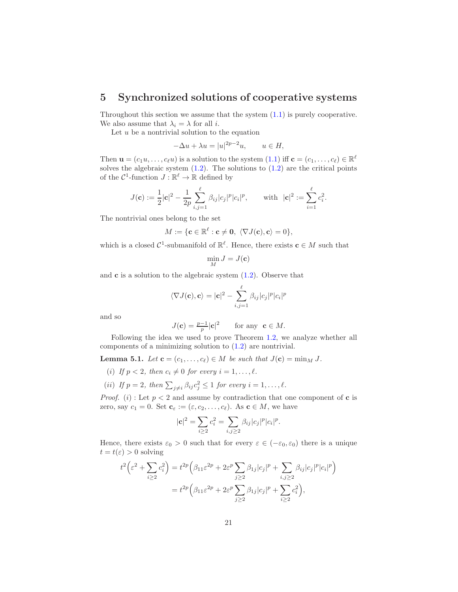# <span id="page-20-0"></span>5 Synchronized solutions of cooperative systems

Throughout this section we assume that the system  $(1.1)$  is purely cooperative. We also assume that  $\lambda_i = \lambda$  for all *i*.

Let  $u$  be a nontrivial solution to the equation

$$
-\Delta u + \lambda u = |u|^{2p-2}u, \qquad u \in H,
$$

Then  $\mathbf{u} = (c_1u, \dots, c_\ell u)$  is a solution to the system  $(1.1)$  iff  $\mathbf{c} = (c_1, \dots, c_\ell) \in \mathbb{R}^\ell$ solves the algebraic system  $(1.2)$ . The solutions to  $(1.2)$  are the critical points of the  $\mathcal{C}^1$ -function  $J : \mathbb{R}^{\ell} \to \mathbb{R}$  defined by

$$
J(\mathbf{c}) := \frac{1}{2} |\mathbf{c}|^2 - \frac{1}{2p} \sum_{i,j=1}^{\ell} \beta_{ij} |c_j|^p |c_i|^p, \quad \text{with } |\mathbf{c}|^2 := \sum_{i=1}^{\ell} c_i^2.
$$

The nontrivial ones belong to the set

$$
M:=\{\mathbf{c}\in\mathbb{R}^{\ell}: \mathbf{c}\neq\mathbf{0},\; \langle\nabla J(\mathbf{c}), \mathbf{c}\rangle=0\},\;
$$

which is a closed  $C^1$ -submanifold of  $\mathbb{R}^{\ell}$ . Hence, there exists  $\mathbf{c} \in M$  such that

$$
\min_M J = J(\mathbf{c})
$$

and  $\bf{c}$  is a solution to the algebraic system  $(1.2)$ . Observe that

$$
\langle \nabla J(\mathbf{c}), \mathbf{c} \rangle = |\mathbf{c}|^2 - \sum_{i,j=1}^{\ell} \beta_{ij} |c_j|^p |c_i|^p
$$

and so

$$
J(\mathbf{c}) = \frac{p-1}{p} |\mathbf{c}|^2 \quad \text{for any } \mathbf{c} \in M.
$$

Following the idea we used to prove Theorem [1.2,](#page-2-0) we analyze whether all components of a minimizing solution to [\(1.2\)](#page-4-1) are nontrivial.

<span id="page-20-1"></span>**Lemma 5.1.** Let  $\mathbf{c} = (c_1, \ldots, c_\ell) \in M$  be such that  $J(\mathbf{c}) = \min_M J$ .

- (i) If  $p < 2$ , then  $c_i \neq 0$  for every  $i = 1, \ldots, \ell$ .
- (ii) If  $p = 2$ , then  $\sum_{j \neq i} \beta_{ij} c_j^2 \leq 1$  for every  $i = 1, \ldots, \ell$ .

*Proof.* (i): Let  $p < 2$  and assume by contradiction that one component of **c** is zero, say  $c_1 = 0$ . Set  $\mathbf{c}_{\varepsilon} := (\varepsilon, c_2, \dots, c_{\ell})$ . As  $\mathbf{c} \in M$ , we have

$$
|\mathbf{c}|^2 = \sum_{i \ge 2} c_i^2 = \sum_{i,j \ge 2} \beta_{ij} |c_j|^p |c_i|^p.
$$

Hence, there exists  $\varepsilon_0 > 0$  such that for every  $\varepsilon \in (-\varepsilon_0, \varepsilon_0)$  there is a unique  $t = t(\varepsilon) > 0$  solving

$$
t^2 \left(\varepsilon^2 + \sum_{i \ge 2} c_i^2\right) = t^{2p} \left(\beta_{11} \varepsilon^{2p} + 2\varepsilon^p \sum_{j \ge 2} \beta_{1j} |c_j|^p + \sum_{i,j \ge 2} \beta_{ij} |c_j|^p |c_i|^p\right)
$$
  
= 
$$
t^{2p} \left(\beta_{11} \varepsilon^{2p} + 2\varepsilon^p \sum_{j \ge 2} \beta_{1j} |c_j|^p + \sum_{i \ge 2} c_i^2\right),
$$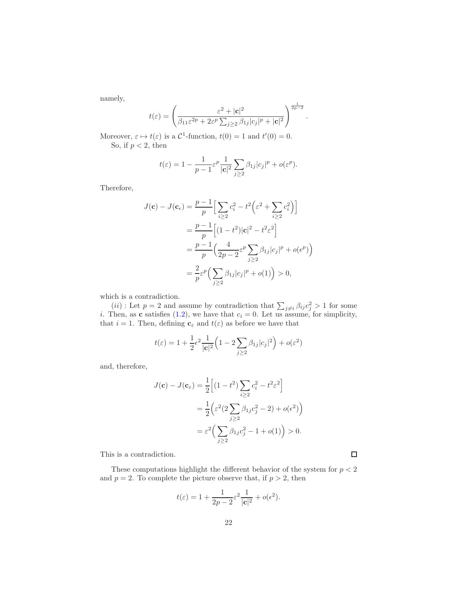namely,

$$
t(\varepsilon) = \left(\frac{\varepsilon^2 + |\mathbf{c}|^2}{\beta_{11}\varepsilon^{2p} + 2\varepsilon^p \sum_{j\geq 2} \beta_{1j} |c_j|^p + |\mathbf{c}|^2}\right)^{\frac{1}{2p-2}}.
$$

Moreover,  $\varepsilon \mapsto t(\varepsilon)$  is a  $\mathcal{C}^1$ -function,  $t(0) = 1$  and  $t'(0) = 0$ . So, if  $p < 2$ , then

$$
t(\varepsilon) = 1 - \frac{1}{p-1} \varepsilon^p \frac{1}{|\mathbf{c}|^2} \sum_{j \ge 2} \beta_{1j} |c_j|^p + o(\varepsilon^p).
$$

Therefore,

$$
J(\mathbf{c}) - J(\mathbf{c}_{\epsilon}) = \frac{p-1}{p} \Big[ \sum_{i \ge 2} c_i^2 - t^2 \Big( \varepsilon^2 + \sum_{i \ge 2} c_i^2 \Big) \Big]
$$
  
= 
$$
\frac{p-1}{p} \Big[ (1-t^2) |\mathbf{c}|^2 - t^2 \varepsilon^2 \Big]
$$
  
= 
$$
\frac{p-1}{p} \Big( \frac{4}{2p-2} \varepsilon^p \sum_{j \ge 2} \beta_{1j} |c_j|^p + o(\varepsilon^p) \Big)
$$
  
= 
$$
\frac{2}{p} \varepsilon^p \Big( \sum_{j \ge 2} \beta_{1j} |c_j|^p + o(1) \Big) > 0,
$$

which is a contradiction.

(*ii*): Let  $p = 2$  and assume by contradiction that  $\sum_{j \neq i} \beta_{ij} c_j^2 > 1$  for some i. Then, as **c** satisfies [\(1.2\)](#page-4-1), we have that  $c_i = 0$ . Let us assume, for simplicity, that  $i = 1$ . Then, defining  $\mathbf{c}_{\varepsilon}$  and  $t(\varepsilon)$  as before we have that

$$
t(\varepsilon) = 1 + \frac{1}{2} \epsilon^2 \frac{1}{|\mathbf{c}|^2} \left( 1 - 2 \sum_{j \ge 2} \beta_{1j} |c_j|^2 \right) + o(\varepsilon^2)
$$

and, therefore,

$$
J(\mathbf{c}) - J(\mathbf{c}_{\varepsilon}) = \frac{1}{2} \left[ (1 - t^2) \sum_{i \ge 2} c_i^2 - t^2 \varepsilon^2 \right]
$$
  
= 
$$
\frac{1}{2} \left( \varepsilon^2 (2 \sum_{j \ge 2} \beta_{1j} c_j^2 - 2) + o(\varepsilon^2) \right)
$$
  
= 
$$
\varepsilon^2 \left( \sum_{j \ge 2} \beta_{1j} c_j^2 - 1 + o(1) \right) > 0.
$$

This is a contradiction.

These computations highlight the different behavior of the system for  $p < 2$ and  $p = 2$ . To complete the picture observe that, if  $p > 2$ , then

$$
t(\varepsilon) = 1 + \frac{1}{2p - 2}\varepsilon^2 \frac{1}{|\mathbf{c}|^2} + o(\varepsilon^2).
$$

 $\Box$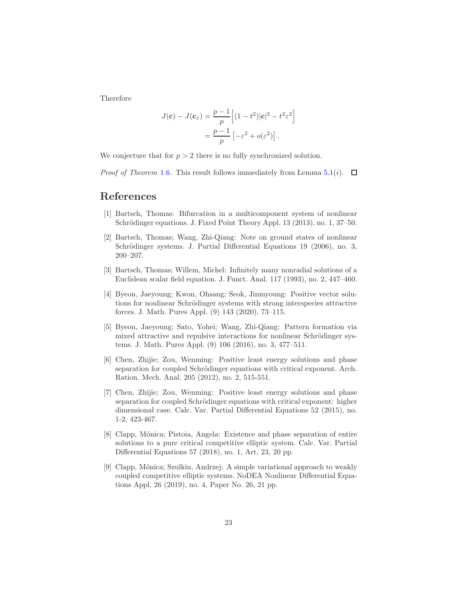Therefore

$$
J(\mathbf{c}) - J(\mathbf{c}_{\varepsilon}) = \frac{p-1}{p} \left[ (1-t^2) |\mathbf{c}|^2 - t^2 \varepsilon^2 \right]
$$

$$
= \frac{p-1}{p} \left[ -\varepsilon^2 + o(\varepsilon^2) \right].
$$

We conjecture that for  $p > 2$  there is no fully synchronized solution.

*Proof of Theorem* [1.6](#page-4-2). This result follows immediately from Lemma [5.1\(](#page-20-1)*i*).  $\Box$ 

# <span id="page-22-5"></span>References

- [1] Bartsch, Thomas: Bifurcation in a multicomponent system of nonlinear Schrödinger equations. J. Fixed Point Theory Appl. 13 (2013), no. 1, 37–50.
- <span id="page-22-4"></span>[2] Bartsch, Thomas; Wang, Zhi-Qiang: Note on ground states of nonlinear Schrödinger systems. J. Partial Differential Equations 19 (2006), no. 3, 200–207.
- <span id="page-22-7"></span>[3] Bartsch, Thomas; Willem, Michel: Infinitely many nonradial solutions of a Euclidean scalar field equation. J. Funct. Anal. 117 (1993), no. 2, 447–460.
- <span id="page-22-2"></span>[4] Byeon, Jaeyoung; Kwon, Ohsang; Seok, Jinmyoung: Positive vector solutions for nonlinear Schrödinger systems with strong interspecies attractive forces. J. Math. Pures Appl. (9) 143 (2020), 73–115.
- <span id="page-22-3"></span>[5] Byeon, Jaeyoung; Sato, Yohei; Wang, Zhi-Qiang: Pattern formation via mixed attractive and repulsive interactions for nonlinear Schrödinger systems. J. Math. Pures Appl. (9) 106 (2016), no. 3, 477–511.
- <span id="page-22-0"></span>[6] Chen, Zhijie; Zou, Wenming: Positive least energy solutions and phase separation for coupled Schrödinger equations with critical exponent. Arch. Ration. Mech. Anal. 205 (2012), no. 2, 515-551.
- <span id="page-22-6"></span>[7] Chen, Zhijie; Zou, Wenming: Positive least energy solutions and phase separation for coupled Schrödinger equations with critical exponent: higher dimensional case. Calc. Var. Partial Differential Equations 52 (2015), no. 1-2, 423-467.
- <span id="page-22-8"></span>[8] Clapp, M´onica; Pistoia, Angela: Existence and phase separation of entire solutions to a pure critical competitive elliptic system. Calc. Var. Partial Differential Equations 57 (2018), no. 1, Art. 23, 20 pp.
- <span id="page-22-1"></span>[9] Clapp, M´onica; Szulkin, Andrzej: A simple variational approach to weakly coupled competitive elliptic systems. NoDEA Nonlinear Differential Equations Appl. 26 (2019), no. 4, Paper No. 26, 21 pp.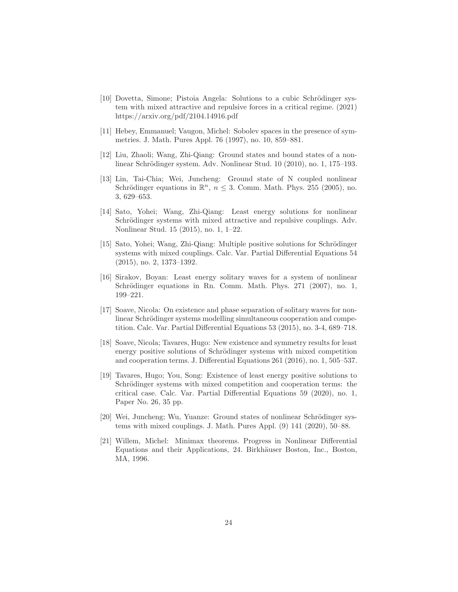- <span id="page-23-0"></span>[10] Dovetta, Simone; Pistoia Angela: Solutions to a cubic Schrödinger system with mixed attractive and repulsive forces in a critical regime. (2021) https://arxiv.org/pdf/2104.14916.pdf
- <span id="page-23-9"></span>[11] Hebey, Emmanuel; Vaugon, Michel: Sobolev spaces in the presence of symmetries. J. Math. Pures Appl. 76 (1997), no. 10, 859–881.
- [12] Liu, Zhaoli; Wang, Zhi-Qiang: Ground states and bound states of a nonlinear Schrödinger system. Adv. Nonlinear Stud. 10 (2010), no. 1, 175–193.
- <span id="page-23-1"></span>[13] Lin, Tai-Chia; Wei, Juncheng: Ground state of N coupled nonlinear Schrödinger equations in  $\mathbb{R}^n$ ,  $n \leq 3$ . Comm. Math. Phys. 255 (2005), no. 3, 629–653.
- <span id="page-23-2"></span>[14] Sato, Yohei; Wang, Zhi-Qiang: Least energy solutions for nonlinear Schrödinger systems with mixed attractive and repulsive couplings. Adv. Nonlinear Stud. 15 (2015), no. 1, 1–22.
- <span id="page-23-3"></span>[15] Sato, Yohei; Wang, Zhi-Qiang: Multiple positive solutions for Schrödinger systems with mixed couplings. Calc. Var. Partial Differential Equations 54 (2015), no. 2, 1373–1392.
- <span id="page-23-7"></span>[16] Sirakov, Boyan: Least energy solitary waves for a system of nonlinear Schrödinger equations in Rn. Comm. Math. Phys.  $271$  (2007), no. 1, 199–221.
- <span id="page-23-4"></span>[17] Soave, Nicola: On existence and phase separation of solitary waves for nonlinear Schrödinger systems modelling simultaneous cooperation and competition. Calc. Var. Partial Differential Equations 53 (2015), no. 3-4, 689–718.
- <span id="page-23-6"></span>[18] Soave, Nicola; Tavares, Hugo: New existence and symmetry results for least energy positive solutions of Schrödinger systems with mixed competition and cooperation terms. J. Differential Equations 261 (2016), no. 1, 505–537.
- [19] Tavares, Hugo; You, Song: Existence of least energy positive solutions to Schrödinger systems with mixed competition and cooperation terms: the critical case. Calc. Var. Partial Differential Equations 59 (2020), no. 1, Paper No. 26, 35 pp.
- <span id="page-23-5"></span>[20] Wei, Juncheng; Wu, Yuanze: Ground states of nonlinear Schrödinger systems with mixed couplings. J. Math. Pures Appl. (9) 141 (2020), 50–88.
- <span id="page-23-8"></span>[21] Willem, Michel: Minimax theorems. Progress in Nonlinear Differential Equations and their Applications, 24. Birkhäuser Boston, Inc., Boston, MA, 1996.